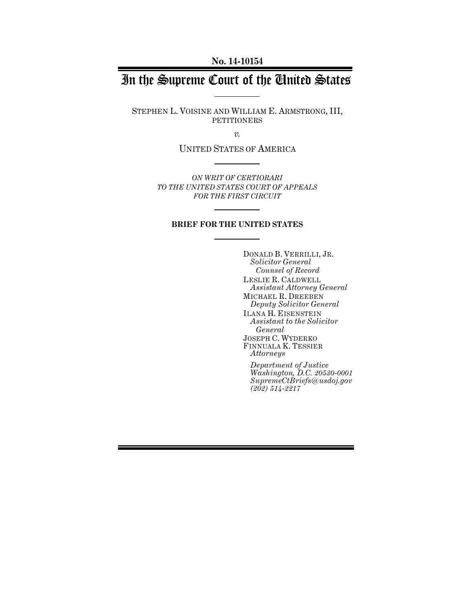**No. 14-10154**

# In the Supreme Court of the United States

STEPHEN L. VOISINE AND WILLIAM E. ARMSTRONG, III, PETITIONERS

*v.*

UNITED STATES OF AMERICA

*ON WRIT OF CERTIORARI TO THE UNITED STATES COURT OF APPEALS FOR THE FIRST CIRCUIT*

#### **BRIEF FOR THE UNITED STATES**

DONALD B. VERRILLI, JR. *Solicitor General Counsel of Record* LESLIE R. CALDWELL *Assistant Attorney General* MICHAEL R. DREEBEN *Deputy Solicitor General* ILANA H. EISENSTEIN *Assistant to the Solicitor General* JOSEPH C. WYDERKO FINNUALA K. TESSIER *Attorneys Department of Justice Washington, D.C. 20530-0001 SupremeCtBriefs@usdoj.gov*

*(202) 514-2217*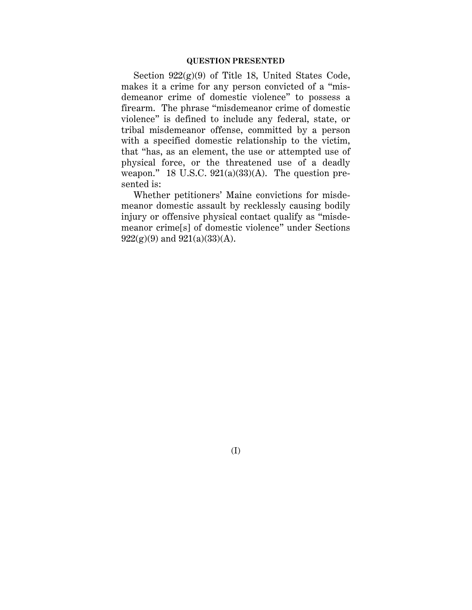#### **QUESTION PRESENTED**

Section  $922(g)(9)$  of Title 18, United States Code, makes it a crime for any person convicted of a "misdemeanor crime of domestic violence" to possess a firearm. The phrase "misdemeanor crime of domestic violence" is defined to include any federal, state, or tribal misdemeanor offense, committed by a person with a specified domestic relationship to the victim, that "has, as an element, the use or attempted use of physical force, or the threatened use of a deadly weapon." 18 U.S.C.  $921(a)(33)(A)$ . The question presented is:

Whether petitioners' Maine convictions for misdemeanor domestic assault by recklessly causing bodily injury or offensive physical contact qualify as "misdemeanor crime[s] of domestic violence" under Sections  $922(g)(9)$  and  $921(a)(33)(A)$ .

(I)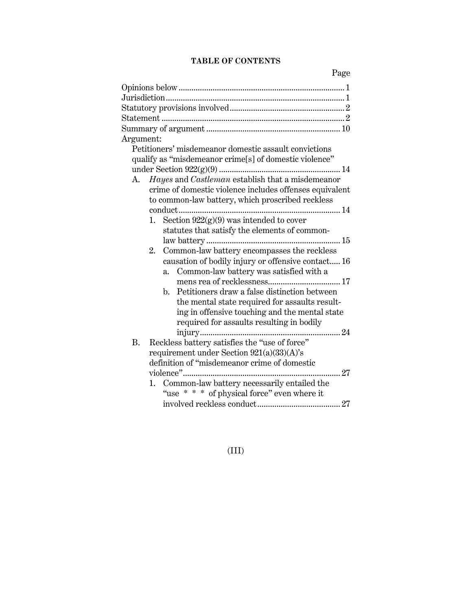## **TABLE OF CONTENTS**

Page

| Argument:                                                      |
|----------------------------------------------------------------|
| Petitioners' misdemeanor domestic assault convictions          |
| qualify as "misdemeanor crime[s] of domestic violence"         |
|                                                                |
| Hayes and Castleman establish that a misdemeanor<br>А.         |
| crime of domestic violence includes offenses equivalent        |
| to common-law battery, which proscribed reckless               |
|                                                                |
| 1. Section $922(g)(9)$ was intended to cover                   |
| statutes that satisfy the elements of common-                  |
|                                                                |
| 2.<br>Common-law battery encompasses the reckless              |
| causation of bodily injury or offensive contact 16             |
| Common-law battery was satisfied with a<br>a.                  |
|                                                                |
| Petitioners draw a false distinction between<br>$\mathbf{b}$ . |
| the mental state required for assaults result-                 |
| ing in offensive touching and the mental state                 |
| required for assaults resulting in bodily                      |
|                                                                |
| Reckless battery satisfies the "use of force"<br><b>B.</b>     |
| requirement under Section $921(a)(33)(A)$ 's                   |
| definition of "misdemeanor crime of domestic                   |
| $\ldots$ 27                                                    |
| Common-law battery necessarily entailed the<br>1.              |
| "use * * * of physical force" even where it                    |
|                                                                |
|                                                                |

(III)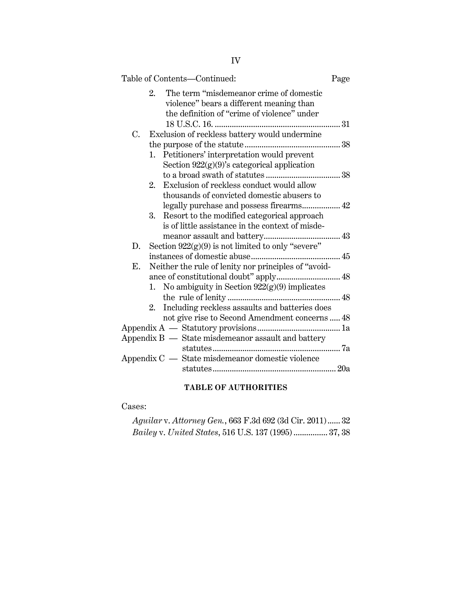|    | Table of Contents-Continued:                                                                                                             | Page |
|----|------------------------------------------------------------------------------------------------------------------------------------------|------|
|    | The term "misdemeanor crime of domestic<br>2.<br>violence" bears a different meaning than<br>the definition of "crime of violence" under |      |
|    |                                                                                                                                          |      |
| C. | Exclusion of reckless battery would undermine                                                                                            |      |
|    |                                                                                                                                          |      |
|    | 1. Petitioners' interpretation would prevent                                                                                             |      |
|    | Section $922(g)(9)$ 's categorical application                                                                                           |      |
|    |                                                                                                                                          |      |
|    | Exclusion of reckless conduct would allow<br>2.                                                                                          |      |
|    | thousands of convicted domestic abusers to                                                                                               |      |
|    | legally purchase and possess firearms 42                                                                                                 |      |
|    | Resort to the modified categorical approach<br>3.                                                                                        |      |
|    | is of little assistance in the context of misde-                                                                                         |      |
|    |                                                                                                                                          |      |
| D. | Section $922(g)(9)$ is not limited to only "severe"                                                                                      |      |
|    |                                                                                                                                          |      |
| Е. | Neither the rule of lenity nor principles of "avoid-                                                                                     |      |
|    | ance of constitutional doubt" apply 48                                                                                                   |      |
|    | 1. No ambiguity in Section $922(g)(9)$ implicates                                                                                        |      |
|    |                                                                                                                                          |      |
|    | 2. Including reckless assaults and batteries does                                                                                        |      |
|    | not give rise to Second Amendment concerns  48                                                                                           |      |
|    |                                                                                                                                          |      |
|    | Appendix B — State misdemeanor assault and battery                                                                                       |      |
|    |                                                                                                                                          |      |
|    | Appendix $C -$ State misdemeanor domestic violence                                                                                       |      |
|    |                                                                                                                                          |      |
|    |                                                                                                                                          |      |

## **TABLE OF AUTHORITIES**

Cases:

| Aguilar v. Attorney Gen., 663 F.3d 692 (3d Cir. 2011) 32   |  |
|------------------------------------------------------------|--|
| <i>Bailey v. United States,</i> 516 U.S. 137 (1995) 37, 38 |  |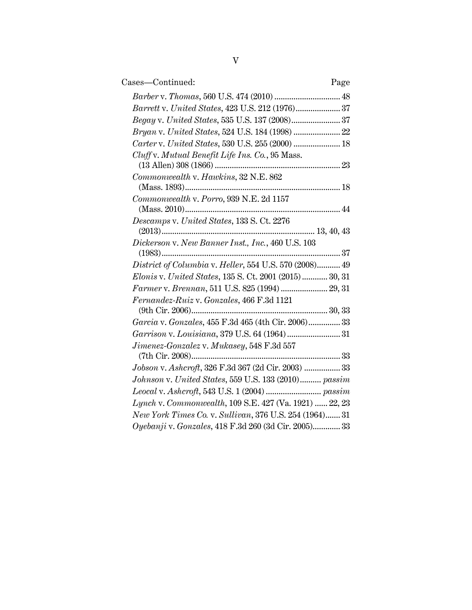| Cases-Continued:<br>Page                               |  |
|--------------------------------------------------------|--|
|                                                        |  |
| Barrett v. United States, 423 U.S. 212 (1976) 37       |  |
|                                                        |  |
|                                                        |  |
| Carter v. United States, 530 U.S. 255 (2000)  18       |  |
| Cluff v. Mutual Benefit Life Ins. Co., 95 Mass.        |  |
| Commonwealth v. Hawkins, 32 N.E. 862                   |  |
|                                                        |  |
| Commonwealth v. Porro, 939 N.E. 2d 1157                |  |
| Descamps v. United States, 133 S. Ct. 2276             |  |
| Dickerson v. New Banner Inst., Inc., 460 U.S. 103      |  |
| District of Columbia v. Heller, 554 U.S. 570 (2008) 49 |  |
| Elonis v. United States, 135 S. Ct. 2001 (2015) 30, 31 |  |
| Farmer v. Brennan, 511 U.S. 825 (1994) 29, 31          |  |
| Fernandez-Ruiz v. Gonzales, 466 F.3d 1121              |  |
|                                                        |  |
| Garcia v. Gonzales, 455 F.3d 465 (4th Cir. 2006) 33    |  |
|                                                        |  |
| Jimenez-Gonzalez v. Mukasey, 548 F.3d 557              |  |
| Jobson v. Ashcroft, 326 F.3d 367 (2d Cir. 2003)  33    |  |
| Johnson v. United States, 559 U.S. 133 (2010) passim   |  |
|                                                        |  |
| Lynch v. Commonwealth, 109 S.E. 427 (Va. 1921)  22, 23 |  |
| New York Times Co. v. Sullivan, 376 U.S. 254 (1964) 31 |  |
| Oyebanji v. Gonzales, 418 F.3d 260 (3d Cir. 2005) 33   |  |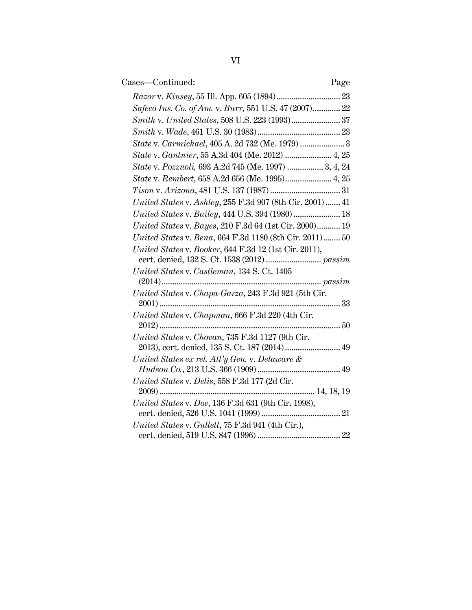| Cases-Continued:                                                                                  | Page |
|---------------------------------------------------------------------------------------------------|------|
|                                                                                                   |      |
| Safeco Ins. Co. of Am. v. Burr, 551 U.S. 47 (2007) 22                                             |      |
|                                                                                                   |      |
|                                                                                                   |      |
| State v. Carmichael, 405 A. 2d 732 (Me. 1979)  3                                                  |      |
| State v. Gantnier, 55 A.3d 404 (Me. 2012)  4, 25                                                  |      |
| State v. Pozzuoli, 693 A.2d 745 (Me. 1997)  3, 4, 24                                              |      |
|                                                                                                   |      |
|                                                                                                   |      |
| United States v. Ashley, 255 F.3d 907 (8th Cir. 2001)  41                                         |      |
| United States v. Bailey, 444 U.S. 394 (1980)  18                                                  |      |
| United States v. Bayes, 210 F.3d 64 (1st Cir. 2000) 19                                            |      |
| United States v. Bena, 664 F.3d 1180 (8th Cir. 2011) 50                                           |      |
| United States v. Booker, 644 F.3d 12 (1st Cir. 2011),                                             |      |
|                                                                                                   |      |
| United States v. Castleman, 134 S. Ct. 1405                                                       |      |
|                                                                                                   |      |
| United States v. Chapa-Garza, 243 F.3d 921 (5th Cir.                                              |      |
| $2001)$                                                                                           |      |
| United States v. Chapman, 666 F.3d 220 (4th Cir.                                                  |      |
|                                                                                                   |      |
| United States v. Chovan, 735 F.3d 1127 (9th Cir.<br>2013), cert. denied, 135 S. Ct. 187 (2014) 49 |      |
| United States ex rel. Att'y Gen. v. Delaware &                                                    |      |
|                                                                                                   |      |
| United States v. Delis, 558 F.3d 177 (2d Cir.                                                     |      |
|                                                                                                   |      |
| United States v. Doe, 136 F.3d 631 (9th Cir. 1998),                                               |      |
|                                                                                                   |      |
| United States v. Gullett, 75 F.3d 941 (4th Cir.),                                                 |      |
|                                                                                                   |      |
|                                                                                                   |      |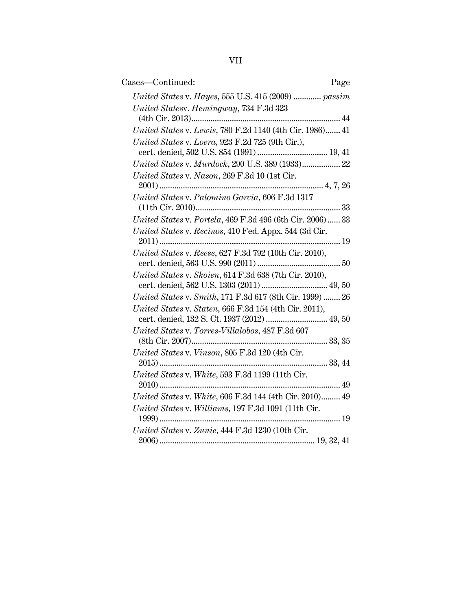| ×, |  |
|----|--|
|    |  |

| Cases-Continued:<br>Page                                  |
|-----------------------------------------------------------|
| United States v. Hayes, 555 U.S. 415 (2009)  passim       |
| United Statesv. Hemingway, 734 F.3d 323                   |
|                                                           |
| United States v. Lewis, 780 F.2d 1140 (4th Cir. 1986) 41  |
| United States v. Loera, 923 F.2d 725 (9th Cir.),          |
| United States v. Murdock, 290 U.S. 389 (1933) 22          |
| United States v. Nason, 269 F.3d 10 (1st Cir.             |
| United States v. Palomino Garcia, 606 F.3d 1317           |
|                                                           |
| United States v. Portela, 469 F.3d 496 (6th Cir. 2006) 33 |
| United States v. Recinos, 410 Fed. Appx. 544 (3d Cir.     |
|                                                           |
| United States v. Reese, 627 F.3d 792 (10th Cir. 2010),    |
| United States v. Skoien, 614 F.3d 638 (7th Cir. 2010),    |
|                                                           |
| United States v. Smith, 171 F.3d 617 (8th Cir. 1999)  26  |
| United States v. Staten, 666 F.3d 154 (4th Cir. 2011),    |
| cert. denied, 132 S. Ct. 1937 (2012)  49, 50              |
| United States v. Torres-Villalobos, 487 F.3d 607          |
|                                                           |
| United States v. Vinson, 805 F.3d 120 (4th Cir.           |
|                                                           |
| United States v. White, 593 F.3d 1199 (11th Cir.          |
|                                                           |
| United States v. White, 606 F.3d 144 (4th Cir. 2010) 49   |
| United States v. Williams, 197 F.3d 1091 (11th Cir.       |
|                                                           |
| United States v. Zunie, 444 F.3d 1230 (10th Cir.          |
|                                                           |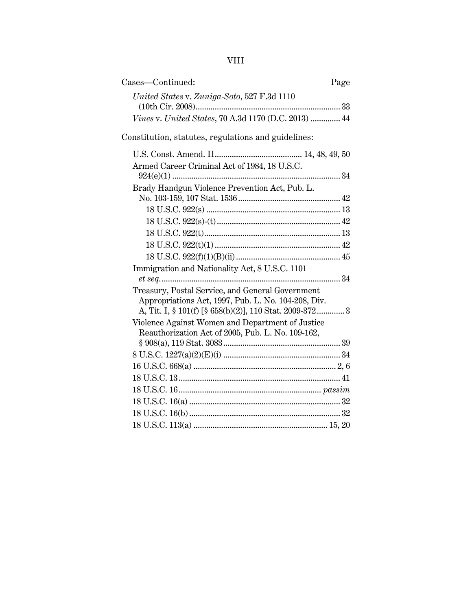VIII

| Cases—Continued:                                                                                                                                                   | Page |
|--------------------------------------------------------------------------------------------------------------------------------------------------------------------|------|
| United States v. Zuniga-Soto, 527 F.3d 1110                                                                                                                        |      |
| Vines v. United States, 70 A.3d 1170 (D.C. 2013)  44                                                                                                               |      |
| Constitution, statutes, regulations and guidelines:                                                                                                                |      |
|                                                                                                                                                                    |      |
| Armed Career Criminal Act of 1984, 18 U.S.C.                                                                                                                       |      |
| Brady Handgun Violence Prevention Act, Pub. L.                                                                                                                     |      |
|                                                                                                                                                                    |      |
|                                                                                                                                                                    |      |
|                                                                                                                                                                    |      |
| Immigration and Nationality Act, 8 U.S.C. 1101                                                                                                                     |      |
| Treasury, Postal Service, and General Government<br>Appropriations Act, 1997, Pub. L. No. 104-208, Div.<br>A, Tit. I, § 101(f) [§ 658(b)(2)], 110 Stat. 2009-372 3 |      |
| Violence Against Women and Department of Justice<br>Reauthorization Act of 2005, Pub. L. No. 109-162,                                                              |      |
|                                                                                                                                                                    |      |
|                                                                                                                                                                    |      |
|                                                                                                                                                                    |      |
|                                                                                                                                                                    |      |
|                                                                                                                                                                    |      |
|                                                                                                                                                                    |      |
|                                                                                                                                                                    |      |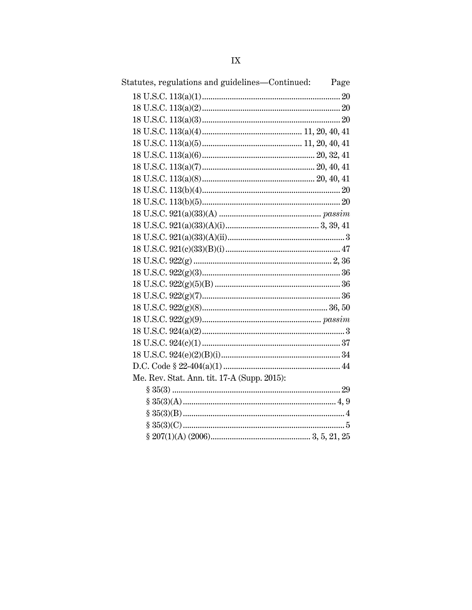| Statutes, regulations and guidelines—Continued: | Page |
|-------------------------------------------------|------|
|                                                 |      |
|                                                 |      |
|                                                 |      |
|                                                 |      |
|                                                 |      |
|                                                 |      |
|                                                 |      |
|                                                 |      |
|                                                 |      |
|                                                 |      |
|                                                 |      |
|                                                 |      |
|                                                 |      |
|                                                 |      |
|                                                 |      |
|                                                 |      |
|                                                 |      |
|                                                 |      |
|                                                 |      |
|                                                 |      |
|                                                 |      |
|                                                 |      |
|                                                 |      |
|                                                 |      |
| Me. Rev. Stat. Ann. tit. 17-A (Supp. 2015):     |      |
|                                                 |      |
|                                                 |      |
|                                                 |      |
|                                                 |      |
|                                                 |      |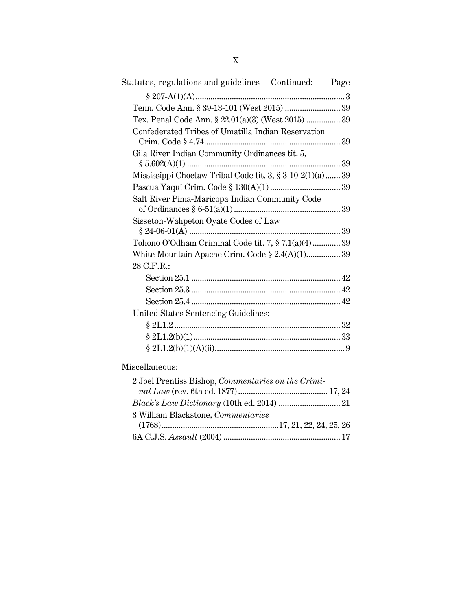| Statutes, regulations and guidelines - Continued: Page       |  |
|--------------------------------------------------------------|--|
|                                                              |  |
| Tenn. Code Ann. § 39-13-101 (West 2015)  39                  |  |
| Tex. Penal Code Ann. § 22.01(a)(3) (West 2015)  39           |  |
| Confederated Tribes of Umatilla Indian Reservation           |  |
| Gila River Indian Community Ordinances tit. 5,               |  |
| Mississippi Choctaw Tribal Code tit. 3, $\S 3-10-2(1)(a)$ 39 |  |
|                                                              |  |
| Salt River Pima-Maricopa Indian Community Code               |  |
| Sisseton-Wahpeton Oyate Codes of Law                         |  |
| Tohono O'Odham Criminal Code tit. 7, § 7.1(a)(4) 39          |  |
| White Mountain Apache Crim. Code $\S 2.4(A)(1)$ 39           |  |
| 28 C.F.R.:                                                   |  |
|                                                              |  |
|                                                              |  |
|                                                              |  |
| United States Sentencing Guidelines:                         |  |
|                                                              |  |
|                                                              |  |
|                                                              |  |
| Miscellaneous:                                               |  |

| 2 Joel Prentiss Bishop, Commentaries on the Crimi- |  |
|----------------------------------------------------|--|
|                                                    |  |
|                                                    |  |
| 3 William Blackstone, Commentaries                 |  |
|                                                    |  |
|                                                    |  |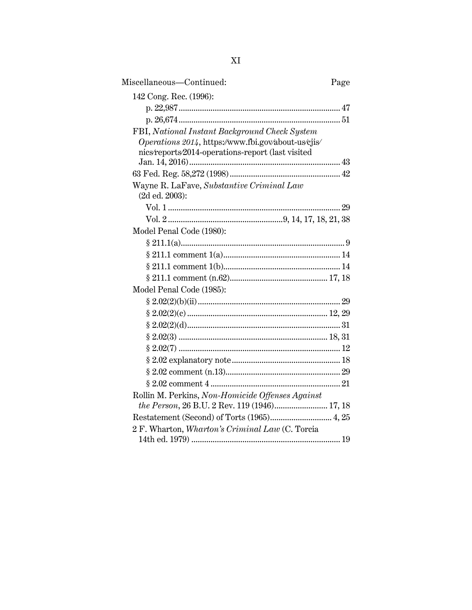| Miscellaneous-Continued:                                    | Page |
|-------------------------------------------------------------|------|
| 142 Cong. Rec. (1996):                                      |      |
|                                                             |      |
|                                                             |      |
| FBI, National Instant Background Check System               |      |
| Operations 2014, https://www.fbi.gov/about-us/cjis/         |      |
| nics/reports/2014-operations-report (last visited           |      |
|                                                             |      |
|                                                             |      |
| Wayne R. LaFave, Substantive Criminal Law<br>(2d ed. 2003): |      |
|                                                             |      |
|                                                             |      |
| Model Penal Code (1980):                                    |      |
|                                                             |      |
|                                                             |      |
|                                                             |      |
|                                                             |      |
| Model Penal Code (1985):                                    |      |
|                                                             |      |
|                                                             |      |
|                                                             |      |
|                                                             |      |
|                                                             |      |
|                                                             |      |
|                                                             |      |
|                                                             |      |
| Rollin M. Perkins, Non-Homicide Offenses Against            |      |
| the Person, 26 B.U. 2 Rev. 119 (1946) 17, 18                |      |
|                                                             |      |
| 2 F. Wharton, Wharton's Criminal Law (C. Torcia             |      |
|                                                             |      |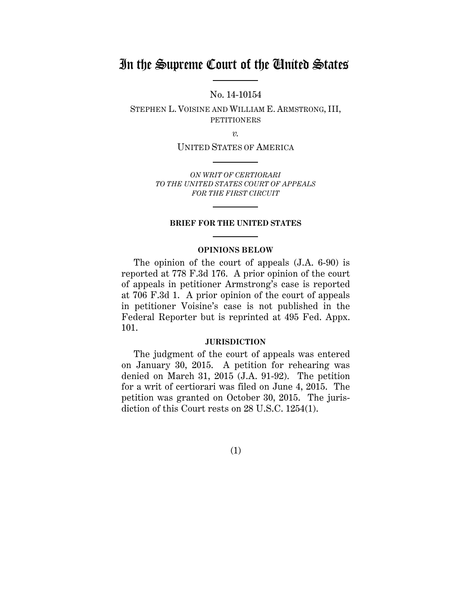## In the Supreme Court of the United States

No. 14-10154

STEPHEN L. VOISINE AND WILLIAM E. ARMSTRONG, III, **PETITIONERS** 

*v.*

UNITED STATES OF AMERICA

*ON WRIT OF CERTIORARI TO THE UNITED STATES COURT OF APPEALS FOR THE FIRST CIRCUIT*

#### **BRIEF FOR THE UNITED STATES**

#### **OPINIONS BELOW**

The opinion of the court of appeals (J.A. 6-90) is reported at 778 F.3d 176. A prior opinion of the court of appeals in petitioner Armstrong's case is reported at 706 F.3d 1. A prior opinion of the court of appeals in petitioner Voisine's case is not published in the Federal Reporter but is reprinted at 495 Fed. Appx. 101.

#### **JURISDICTION**

The judgment of the court of appeals was entered on January 30, 2015. A petition for rehearing was denied on March 31, 2015 (J.A. 91-92). The petition for a writ of certiorari was filed on June 4, 2015. The petition was granted on October 30, 2015. The jurisdiction of this Court rests on 28 U.S.C. 1254(1).

(1)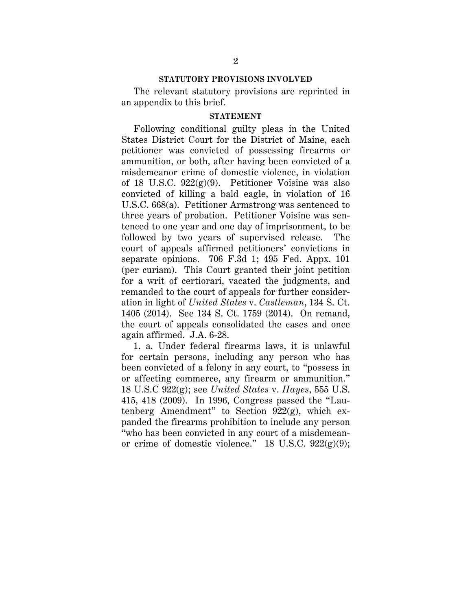#### **STATUTORY PROVISIONS INVOLVED**

The relevant statutory provisions are reprinted in an appendix to this brief.

#### **STATEMENT**

Following conditional guilty pleas in the United States District Court for the District of Maine, each petitioner was convicted of possessing firearms or ammunition, or both, after having been convicted of a misdemeanor crime of domestic violence, in violation of 18 U.S.C. 922(g)(9). Petitioner Voisine was also convicted of killing a bald eagle, in violation of 16 U.S.C. 668(a). Petitioner Armstrong was sentenced to three years of probation. Petitioner Voisine was sentenced to one year and one day of imprisonment, to be followed by two years of supervised release. The court of appeals affirmed petitioners' convictions in separate opinions. 706 F.3d 1; 495 Fed. Appx. 101 (per curiam). This Court granted their joint petition for a writ of certiorari, vacated the judgments, and remanded to the court of appeals for further consideration in light of *United States* v. *Castleman*, 134 S. Ct. 1405 (2014). See 134 S. Ct. 1759 (2014). On remand, the court of appeals consolidated the cases and once again affirmed. J.A. 6-28.

1. a. Under federal firearms laws, it is unlawful for certain persons, including any person who has been convicted of a felony in any court, to "possess in or affecting commerce, any firearm or ammunition." 18 U.S.C 922(g); see *United States* v. *Hayes*, 555 U.S. 415, 418 (2009). In 1996, Congress passed the "Lautenberg Amendment" to Section 922(g), which expanded the firearms prohibition to include any person "who has been convicted in any court of a misdemeanor crime of domestic violence." 18 U.S.C.  $922(g)(9)$ ;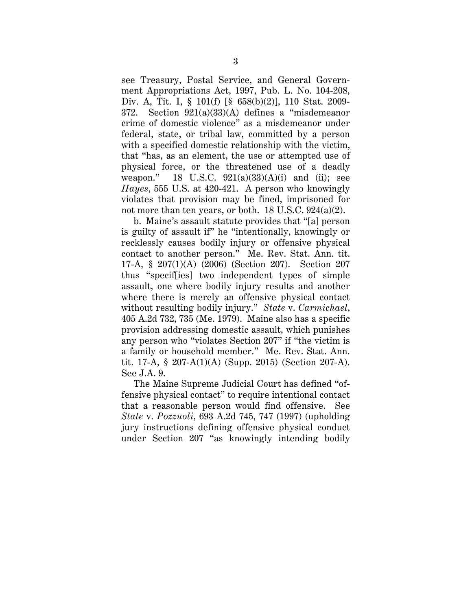see Treasury, Postal Service, and General Government Appropriations Act, 1997, Pub. L. No. 104-208, Div. A, Tit. I, § 101(f) [§ 658(b)(2)], 110 Stat. 2009- 372. Section 921(a)(33)(A) defines a "misdemeanor crime of domestic violence" as a misdemeanor under federal, state, or tribal law, committed by a person with a specified domestic relationship with the victim, that "has, as an element, the use or attempted use of physical force, or the threatened use of a deadly weapon." 18 U.S.C.  $921(a)(33)(A)(i)$  and (ii); see *Hayes*, 555 U.S. at 420-421. A person who knowingly violates that provision may be fined, imprisoned for not more than ten years, or both. 18 U.S.C. 924(a)(2).

b. Maine's assault statute provides that "[a] person is guilty of assault if" he "intentionally, knowingly or recklessly causes bodily injury or offensive physical contact to another person." Me. Rev. Stat. Ann. tit. 17-A, § 207(1)(A) (2006) (Section 207). Section 207 thus "specif[ies] two independent types of simple assault, one where bodily injury results and another where there is merely an offensive physical contact without resulting bodily injury." *State* v. *Carmichael*, 405 A.2d 732, 735 (Me. 1979). Maine also has a specific provision addressing domestic assault, which punishes any person who "violates Section 207" if "the victim is a family or household member." Me. Rev. Stat. Ann. tit. 17-A, § 207-A(1)(A) (Supp. 2015) (Section 207-A). See J.A. 9.

The Maine Supreme Judicial Court has defined "offensive physical contact" to require intentional contact that a reasonable person would find offensive. See *State* v. *Pozzuoli*, 693 A.2d 745, 747 (1997) (upholding jury instructions defining offensive physical conduct under Section 207 "as knowingly intending bodily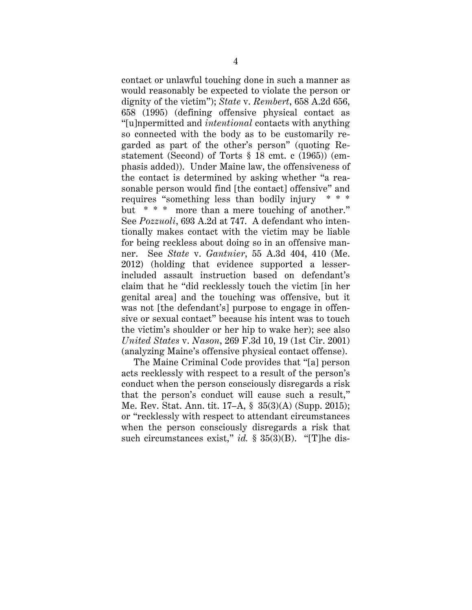contact or unlawful touching done in such a manner as would reasonably be expected to violate the person or dignity of the victim"); *State* v. *Rembert*, 658 A.2d 656, 658 (1995) (defining offensive physical contact as "[u]npermitted and *intentional* contacts with anything so connected with the body as to be customarily regarded as part of the other's person" (quoting Restatement (Second) of Torts § 18 cmt. c (1965)) (emphasis added)). Under Maine law, the offensiveness of the contact is determined by asking whether "a reasonable person would find [the contact] offensive" and requires "something less than bodily injury \* \* \* but \* \* \* more than a mere touching of another." See *Pozzuoli*, 693 A.2d at 747. A defendant who intentionally makes contact with the victim may be liable for being reckless about doing so in an offensive manner. See *State* v. *Gantnier*, 55 A.3d 404, 410 (Me. 2012) (holding that evidence supported a lesserincluded assault instruction based on defendant's claim that he "did recklessly touch the victim [in her genital area] and the touching was offensive, but it was not [the defendant's] purpose to engage in offensive or sexual contact" because his intent was to touch the victim's shoulder or her hip to wake her); see also *United States* v. *Nason*, 269 F.3d 10, 19 (1st Cir. 2001) (analyzing Maine's offensive physical contact offense).

The Maine Criminal Code provides that "[a] person acts recklessly with respect to a result of the person's conduct when the person consciously disregards a risk that the person's conduct will cause such a result," Me. Rev. Stat. Ann. tit. 17–A, § 35(3)(A) (Supp. 2015); or "recklessly with respect to attendant circumstances when the person consciously disregards a risk that such circumstances exist," *id.* § 35(3)(B). "[T]he dis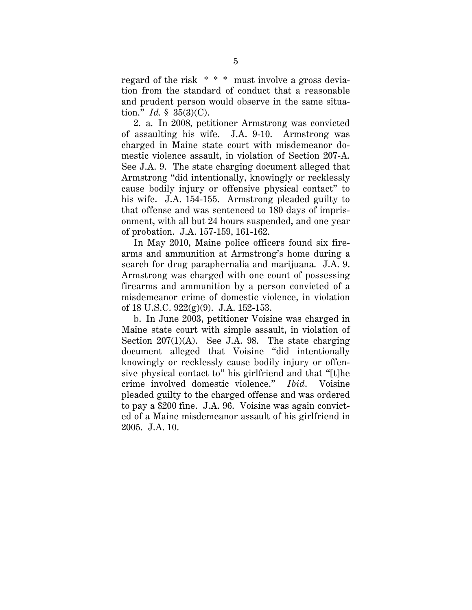regard of the risk \* \* \* must involve a gross deviation from the standard of conduct that a reasonable and prudent person would observe in the same situation." *Id.* § 35(3)(C).

2. a. In 2008, petitioner Armstrong was convicted of assaulting his wife. J.A. 9-10. Armstrong was charged in Maine state court with misdemeanor domestic violence assault, in violation of Section 207-A. See J.A. 9. The state charging document alleged that Armstrong "did intentionally, knowingly or recklessly cause bodily injury or offensive physical contact" to his wife. J.A. 154-155. Armstrong pleaded guilty to that offense and was sentenced to 180 days of imprisonment, with all but 24 hours suspended, and one year of probation. J.A. 157-159, 161-162.

In May 2010, Maine police officers found six firearms and ammunition at Armstrong's home during a search for drug paraphernalia and marijuana. J.A. 9. Armstrong was charged with one count of possessing firearms and ammunition by a person convicted of a misdemeanor crime of domestic violence, in violation of 18 U.S.C. 922(g)(9). J.A. 152-153.

b. In June 2003, petitioner Voisine was charged in Maine state court with simple assault, in violation of Section  $207(1)(A)$ . See J.A. 98. The state charging document alleged that Voisine "did intentionally knowingly or recklessly cause bodily injury or offensive physical contact to" his girlfriend and that "[t]he crime involved domestic violence." *Ibid*. Voisine pleaded guilty to the charged offense and was ordered to pay a \$200 fine. J.A. 96. Voisine was again convicted of a Maine misdemeanor assault of his girlfriend in 2005. J.A. 10.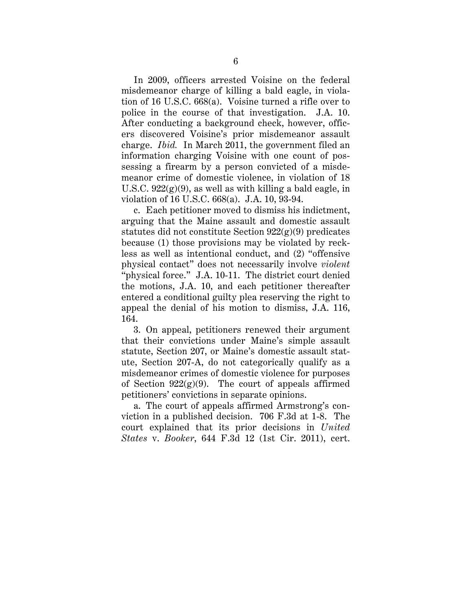In 2009, officers arrested Voisine on the federal misdemeanor charge of killing a bald eagle, in violation of 16 U.S.C. 668(a). Voisine turned a rifle over to police in the course of that investigation. J.A. 10. After conducting a background check, however, officers discovered Voisine's prior misdemeanor assault charge. *Ibid.* In March 2011, the government filed an information charging Voisine with one count of possessing a firearm by a person convicted of a misdemeanor crime of domestic violence, in violation of 18 U.S.C.  $922(g)(9)$ , as well as with killing a bald eagle, in violation of 16 U.S.C. 668(a). J.A. 10, 93-94.

c. Each petitioner moved to dismiss his indictment, arguing that the Maine assault and domestic assault statutes did not constitute Section  $922(g)(9)$  predicates because (1) those provisions may be violated by reckless as well as intentional conduct, and (2) "offensive physical contact" does not necessarily involve *violent* "physical force." J.A. 10-11. The district court denied the motions, J.A. 10, and each petitioner thereafter entered a conditional guilty plea reserving the right to appeal the denial of his motion to dismiss, J.A. 116, 164.

3. On appeal, petitioners renewed their argument that their convictions under Maine's simple assault statute, Section 207, or Maine's domestic assault statute, Section 207-A, do not categorically qualify as a misdemeanor crimes of domestic violence for purposes of Section  $922(g)(9)$ . The court of appeals affirmed petitioners' convictions in separate opinions.

a. The court of appeals affirmed Armstrong's conviction in a published decision. 706 F.3d at 1-8. The court explained that its prior decisions in *United States* v. *Booker*, 644 F.3d 12 (1st Cir. 2011), cert.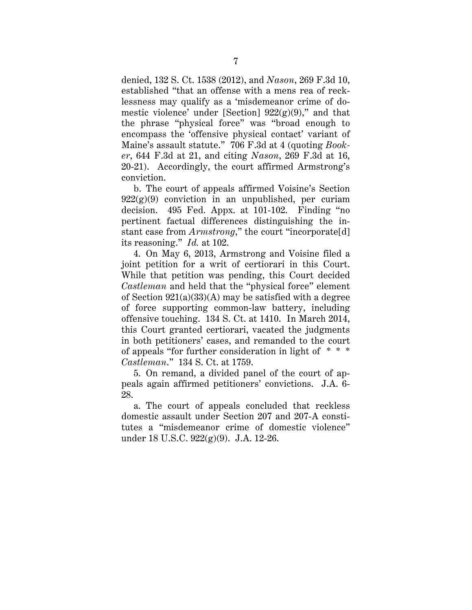denied, 132 S. Ct. 1538 (2012), and *Nason*, 269 F.3d 10, established "that an offense with a mens rea of recklessness may qualify as a 'misdemeanor crime of domestic violence' under [Section]  $922(g)(9)$ ," and that the phrase "physical force" was "broad enough to encompass the 'offensive physical contact' variant of Maine's assault statute." 706 F.3d at 4 (quoting *Booker*, 644 F.3d at 21, and citing *Nason*, 269 F.3d at 16, 20-21). Accordingly, the court affirmed Armstrong's conviction.

b. The court of appeals affirmed Voisine's Section  $922(g)(9)$  conviction in an unpublished, per curiam decision. 495 Fed. Appx. at 101-102. Finding "no pertinent factual differences distinguishing the instant case from *Armstrong*," the court "incorporate[d] its reasoning." *Id.* at 102.

4. On May 6, 2013, Armstrong and Voisine filed a joint petition for a writ of certiorari in this Court. While that petition was pending, this Court decided *Castleman* and held that the "physical force" element of Section  $921(a)(33)(A)$  may be satisfied with a degree of force supporting common-law battery, including offensive touching. 134 S. Ct. at 1410. In March 2014, this Court granted certiorari, vacated the judgments in both petitioners' cases, and remanded to the court of appeals "for further consideration in light of *\* \* \* Castleman*." 134 S. Ct. at 1759.

5. On remand, a divided panel of the court of appeals again affirmed petitioners' convictions. J.A. 6- 28.

a. The court of appeals concluded that reckless domestic assault under Section 207 and 207-A constitutes a "misdemeanor crime of domestic violence" under 18 U.S.C. 922(g)(9). J.A. 12-26.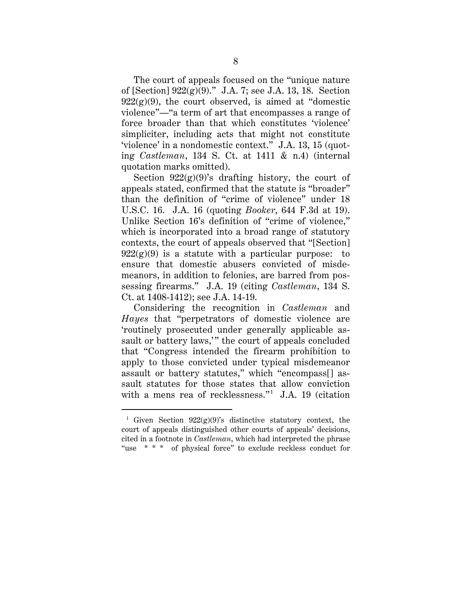The court of appeals focused on the "unique nature of [Section] 922(g)(9)." J.A. 7; see J.A. 13, 18. Section  $922(g)(9)$ , the court observed, is aimed at "domestic violence"—"a term of art that encompasses a range of force broader than that which constitutes 'violence' simpliciter, including acts that might not constitute 'violence' in a nondomestic context." J.A. 13, 15 (quoting *Castleman*, 134 S. Ct. at 1411 & n.4) (internal quotation marks omitted).

Section  $922(g)(9)$ 's drafting history, the court of appeals stated, confirmed that the statute is "broader" than the definition of "crime of violence" under 18 U.S.C. 16. J.A. 16 (quoting *Booker*, 644 F.3d at 19). Unlike Section 16's definition of "crime of violence," which is incorporated into a broad range of statutory contexts, the court of appeals observed that "[Section]  $922(g)(9)$  is a statute with a particular purpose: to ensure that domestic abusers convicted of misdemeanors, in addition to felonies, are barred from possessing firearms." J.A. 19 (citing *Castleman*, 134 S. Ct. at 1408-1412); see J.A. 14-19.

Considering the recognition in *Castleman* and *Hayes* that "perpetrators of domestic violence are 'routinely prosecuted under generally applicable assault or battery laws," the court of appeals concluded that "Congress intended the firearm prohibition to apply to those convicted under typical misdemeanor assault or battery statutes," which "encompass[] assault statutes for those states that allow conviction with a mens rea of recklessness."<sup>1</sup> J.A. 19 (citation

 <sup>1</sup> Given Section 922(g)(9)'s distinctive statutory context, the court of appeals distinguished other courts of appeals' decisions, cited in a footnote in *Castleman*, which had interpreted the phrase "use \* \* \* of physical force" to exclude reckless conduct for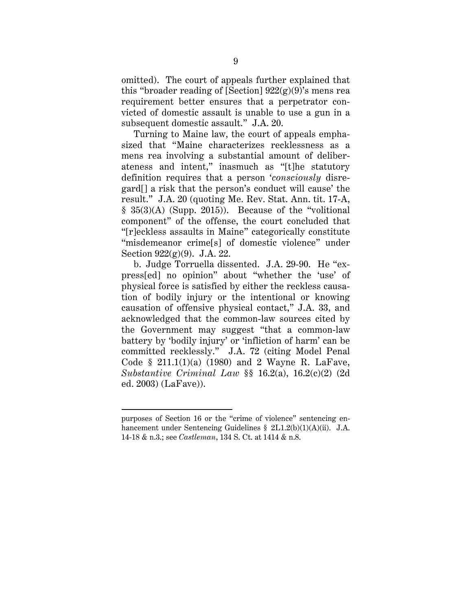omitted). The court of appeals further explained that this "broader reading of [Section]  $922(g)(9)$ 's mens rea requirement better ensures that a perpetrator convicted of domestic assault is unable to use a gun in a subsequent domestic assault." J.A. 20.

Turning to Maine law, the court of appeals emphasized that "Maine characterizes recklessness as a mens rea involving a substantial amount of deliberateness and intent," inasmuch as "[t]he statutory definition requires that a person '*consciously* disregard[] a risk that the person's conduct will cause' the result." J.A. 20 (quoting Me. Rev. Stat. Ann. tit. 17-A,  $§ 35(3)(A)$  (Supp. 2015)). Because of the "volitional" component" of the offense, the court concluded that "[r]eckless assaults in Maine" categorically constitute "misdemeanor crime[s] of domestic violence" under Section 922(g)(9). J.A. 22.

b. Judge Torruella dissented. J.A. 29-90. He "express[ed] no opinion" about "whether the 'use' of physical force is satisfied by either the reckless causation of bodily injury or the intentional or knowing causation of offensive physical contact," J.A. 33, and acknowledged that the common-law sources cited by the Government may suggest "that a common-law battery by 'bodily injury' or 'infliction of harm' can be committed recklessly." J.A. 72 (citing Model Penal Code § 211.1(1)(a) (1980) and 2 Wayne R. LaFave, *Substantive Criminal Law* §§ 16.2(a), 16.2(c)(2) (2d ed. 2003) (LaFave)).

 $\overline{a}$ 

purposes of Section 16 or the "crime of violence" sentencing enhancement under Sentencing Guidelines § 2L1.2(b)(1)(A)(ii). J.A. 14-18 & n.3.; see *Castleman*, 134 S. Ct. at 1414 & n.8.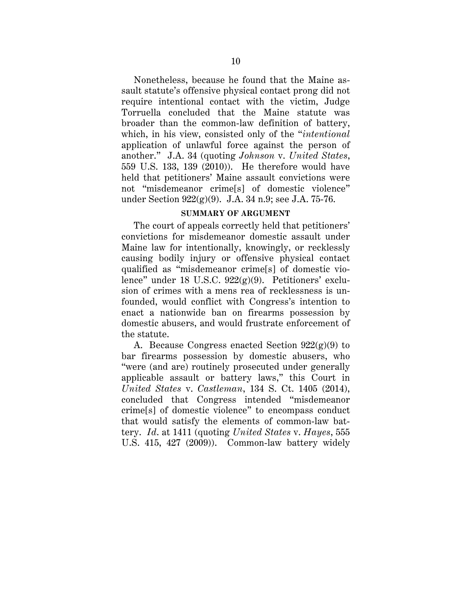Nonetheless, because he found that the Maine assault statute's offensive physical contact prong did not require intentional contact with the victim, Judge Torruella concluded that the Maine statute was broader than the common-law definition of battery, which, in his view, consisted only of the "*intentional* application of unlawful force against the person of another." J.A. 34 (quoting *Johnson* v. *United States*, 559 U.S. 133, 139 (2010)). He therefore would have held that petitioners' Maine assault convictions were not "misdemeanor crime[s] of domestic violence" under Section 922(g)(9). J.A. 34 n.9; see J.A. 75-76.

#### **SUMMARY OF ARGUMENT**

The court of appeals correctly held that petitioners' convictions for misdemeanor domestic assault under Maine law for intentionally, knowingly, or recklessly causing bodily injury or offensive physical contact qualified as "misdemeanor crime[s] of domestic violence" under 18 U.S.C. 922(g)(9). Petitioners' exclusion of crimes with a mens rea of recklessness is unfounded, would conflict with Congress's intention to enact a nationwide ban on firearms possession by domestic abusers, and would frustrate enforcement of the statute.

A. Because Congress enacted Section  $922(g)(9)$  to bar firearms possession by domestic abusers, who "were (and are) routinely prosecuted under generally applicable assault or battery laws," this Court in *United States* v. *Castleman*, 134 S. Ct. 1405 (2014), concluded that Congress intended "misdemeanor crime[s] of domestic violence" to encompass conduct that would satisfy the elements of common-law battery. *Id*. at 1411 (quoting *United States* v. *Hayes*, 555 U.S. 415, 427 (2009)). Common-law battery widely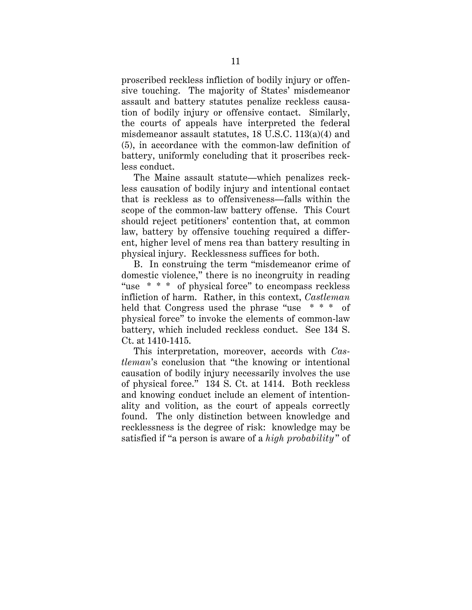proscribed reckless infliction of bodily injury or offensive touching. The majority of States' misdemeanor assault and battery statutes penalize reckless causation of bodily injury or offensive contact. Similarly, the courts of appeals have interpreted the federal misdemeanor assault statutes, 18 U.S.C. 113(a)(4) and (5), in accordance with the common-law definition of battery, uniformly concluding that it proscribes reckless conduct.

The Maine assault statute—which penalizes reckless causation of bodily injury and intentional contact that is reckless as to offensiveness—falls within the scope of the common-law battery offense. This Court should reject petitioners' contention that, at common law, battery by offensive touching required a different, higher level of mens rea than battery resulting in physical injury. Recklessness suffices for both.

B. In construing the term "misdemeanor crime of domestic violence," there is no incongruity in reading "use \* \* \* of physical force" to encompass reckless infliction of harm. Rather, in this context, *Castleman* held that Congress used the phrase "use \* \* \* of physical force" to invoke the elements of common-law battery, which included reckless conduct. See 134 S. Ct. at 1410-1415.

This interpretation, moreover, accords with *Castleman*'s conclusion that "the knowing or intentional causation of bodily injury necessarily involves the use of physical force." 134 S. Ct. at 1414. Both reckless and knowing conduct include an element of intentionality and volition, as the court of appeals correctly found. The only distinction between knowledge and recklessness is the degree of risk: knowledge may be satisfied if "a person is aware of a *high probability*" of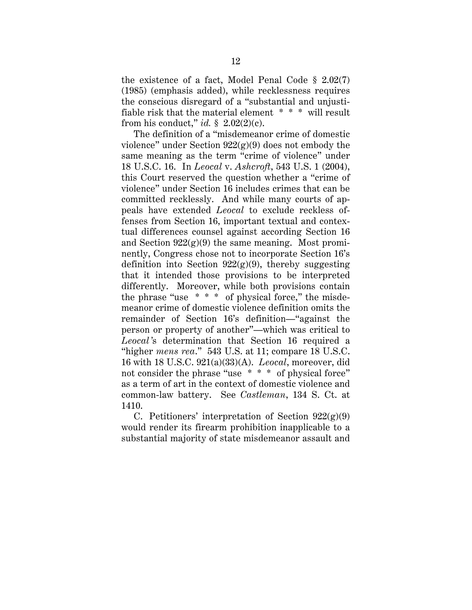the existence of a fact, Model Penal Code § 2.02(7) (1985) (emphasis added), while recklessness requires the conscious disregard of a "substantial and unjustifiable risk that the material element \* \* \* will result from his conduct," *id.*  $\S$  2.02(2)(c).

The definition of a "misdemeanor crime of domestic violence" under Section  $922(g)(9)$  does not embody the same meaning as the term "crime of violence" under 18 U.S.C. 16. In *Leocal* v. *Ashcroft*, 543 U.S. 1 (2004), this Court reserved the question whether a "crime of violence" under Section 16 includes crimes that can be committed recklessly. And while many courts of appeals have extended *Leocal* to exclude reckless offenses from Section 16, important textual and contextual differences counsel against according Section 16 and Section  $922(g)(9)$  the same meaning. Most prominently, Congress chose not to incorporate Section 16's definition into Section  $922(g)(9)$ , thereby suggesting that it intended those provisions to be interpreted differently. Moreover, while both provisions contain the phrase "use  $* * *$  of physical force," the misdemeanor crime of domestic violence definition omits the remainder of Section 16's definition—"against the person or property of another"—which was critical to *Leocal'*s determination that Section 16 required a "higher *mens rea*." 543 U.S. at 11; compare 18 U.S.C. 16 with 18 U.S.C. 921(a)(33)(A). *Leocal*, moreover, did not consider the phrase "use \* \* \* of physical force" as a term of art in the context of domestic violence and common-law battery. See *Castleman*, 134 S. Ct. at 1410.

C. Petitioners' interpretation of Section  $922(g)(9)$ would render its firearm prohibition inapplicable to a substantial majority of state misdemeanor assault and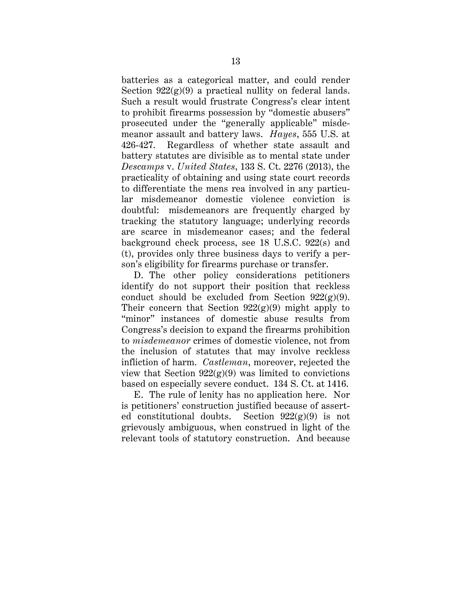batteries as a categorical matter, and could render Section  $922(g)(9)$  a practical nullity on federal lands. Such a result would frustrate Congress's clear intent to prohibit firearms possession by "domestic abusers" prosecuted under the "generally applicable" misdemeanor assault and battery laws. *Hayes*, 555 U.S. at 426-427. Regardless of whether state assault and battery statutes are divisible as to mental state under *Descamps* v. *United States*, 133 S. Ct. 2276 (2013), the practicality of obtaining and using state court records to differentiate the mens rea involved in any particular misdemeanor domestic violence conviction is doubtful: misdemeanors are frequently charged by tracking the statutory language; underlying records are scarce in misdemeanor cases; and the federal background check process, see 18 U.S.C. 922(s) and (t), provides only three business days to verify a person's eligibility for firearms purchase or transfer.

D. The other policy considerations petitioners identify do not support their position that reckless conduct should be excluded from Section  $922(g)(9)$ . Their concern that Section  $922(g)(9)$  might apply to "minor" instances of domestic abuse results from Congress's decision to expand the firearms prohibition to *misdemeanor* crimes of domestic violence, not from the inclusion of statutes that may involve reckless infliction of harm. *Castleman*, moreover, rejected the view that Section  $922(g)(9)$  was limited to convictions based on especially severe conduct. 134 S. Ct. at 1416.

E. The rule of lenity has no application here. Nor is petitioners' construction justified because of asserted constitutional doubts. Section  $922(g)(9)$  is not grievously ambiguous, when construed in light of the relevant tools of statutory construction. And because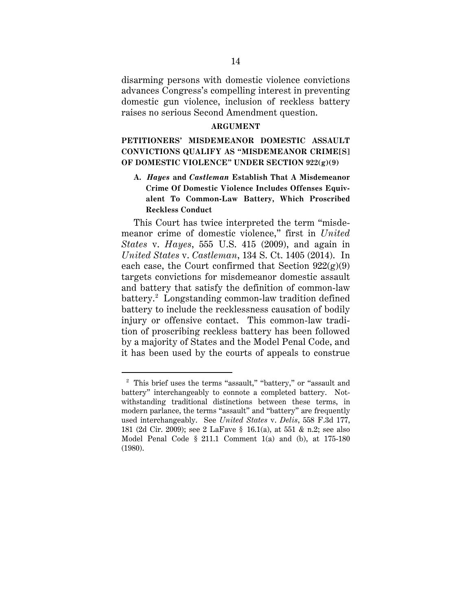disarming persons with domestic violence convictions advances Congress's compelling interest in preventing domestic gun violence, inclusion of reckless battery raises no serious Second Amendment question.

#### **ARGUMENT**

## **PETITIONERS' MISDEMEANOR DOMESTIC ASSAULT CONVICTIONS QUALIFY AS "MISDEMEANOR CRIME[S] OF DOMESTIC VIOLENCE" UNDER SECTION 922(g)(9)**

## **A.** *Hayes* **and** *Castleman* **Establish That A Misdemeanor Crime Of Domestic Violence Includes Offenses Equivalent To Common-Law Battery, Which Proscribed Reckless Conduct**

This Court has twice interpreted the term "misdemeanor crime of domestic violence," first in *United States* v. *Hayes*, 555 U.S. 415 (2009), and again in *United States* v. *Castleman*, 134 S. Ct. 1405 (2014). In each case, the Court confirmed that Section  $922(g)(9)$ targets convictions for misdemeanor domestic assault and battery that satisfy the definition of common-law battery.2 Longstanding common-law tradition defined battery to include the recklessness causation of bodily injury or offensive contact. This common-law tradition of proscribing reckless battery has been followed by a majority of States and the Model Penal Code, and it has been used by the courts of appeals to construe

 <sup>2</sup> This brief uses the terms "assault," "battery," or "assault and battery" interchangeably to connote a completed battery. Notwithstanding traditional distinctions between these terms, in modern parlance, the terms "assault" and "battery" are frequently used interchangeably. See *United States* v. *Delis*, 558 F.3d 177, 181 (2d Cir. 2009); see 2 LaFave § 16.1(a), at 551 & n.2; see also Model Penal Code § 211.1 Comment 1(a) and (b), at 175-180 (1980).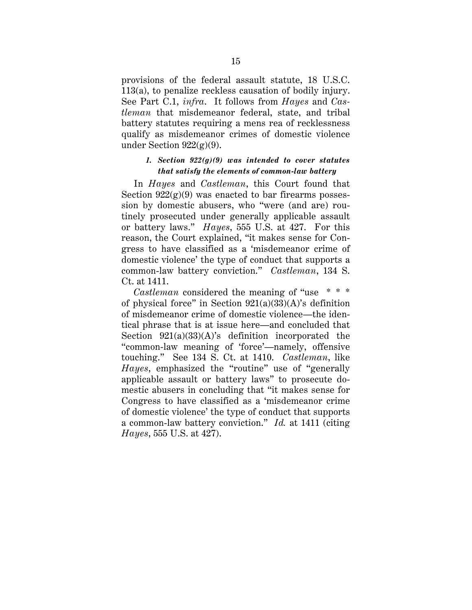provisions of the federal assault statute, 18 U.S.C. 113(a), to penalize reckless causation of bodily injury. See Part C.1, *infra*. It follows from *Hayes* and *Castleman* that misdemeanor federal, state, and tribal battery statutes requiring a mens rea of recklessness qualify as misdemeanor crimes of domestic violence under Section  $922(g)(9)$ .

#### *1. Section 922(g)(9) was intended to cover statutes that satisfy the elements of common-law battery*

In *Hayes* and *Castleman*, this Court found that Section  $922(g)(9)$  was enacted to bar firearms possession by domestic abusers, who "were (and are) routinely prosecuted under generally applicable assault or battery laws." *Hayes*, 555 U.S. at 427. For this reason, the Court explained, "it makes sense for Congress to have classified as a 'misdemeanor crime of domestic violence' the type of conduct that supports a common-law battery conviction." *Castleman*, 134 S. Ct. at 1411.

*Castleman* considered the meaning of "use \* \* \* of physical force" in Section  $921(a)(33)(A)$ 's definition of misdemeanor crime of domestic violence—the identical phrase that is at issue here—and concluded that Section  $921(a)(33)(A)$ 's definition incorporated the "common-law meaning of 'force'—namely, offensive touching." See 134 S. Ct. at 1410. *Castleman*, like *Hayes*, emphasized the "routine" use of "generally applicable assault or battery laws" to prosecute domestic abusers in concluding that "it makes sense for Congress to have classified as a 'misdemeanor crime of domestic violence' the type of conduct that supports a common-law battery conviction." *Id.* at 1411 (citing *Hayes*, 555 U.S. at 427).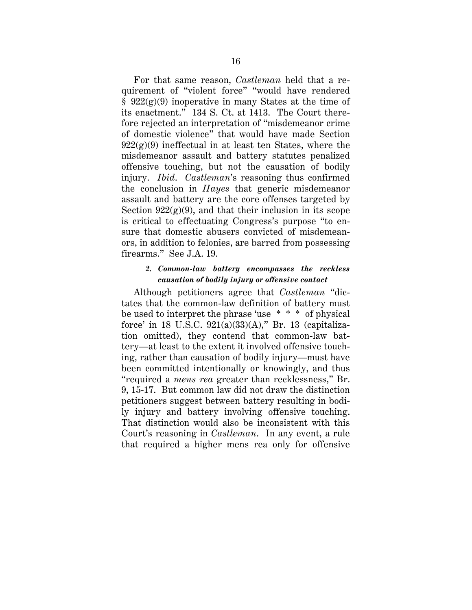For that same reason, *Castleman* held that a requirement of "violent force" "would have rendered  $§$  922(g)(9) inoperative in many States at the time of its enactment." 134 S. Ct. at 1413. The Court therefore rejected an interpretation of "misdemeanor crime of domestic violence" that would have made Section  $922(g)(9)$  ineffectual in at least ten States, where the misdemeanor assault and battery statutes penalized offensive touching, but not the causation of bodily injury. *Ibid*. *Castleman*'s reasoning thus confirmed the conclusion in *Hayes* that generic misdemeanor assault and battery are the core offenses targeted by Section  $922(g)(9)$ , and that their inclusion in its scope is critical to effectuating Congress's purpose "to ensure that domestic abusers convicted of misdemeanors, in addition to felonies, are barred from possessing firearms." See J.A. 19.

#### *2. Common-law battery encompasses the reckless causation of bodily injury or offensive contact*

Although petitioners agree that *Castleman* "dictates that the common-law definition of battery must be used to interpret the phrase 'use \* \* \* of physical force' in 18 U.S.C. 921(a)(33)(A)," Br. 13 (capitalization omitted), they contend that common-law battery—at least to the extent it involved offensive touching, rather than causation of bodily injury—must have been committed intentionally or knowingly, and thus "required a *mens rea* greater than recklessness," Br. 9, 15-17. But common law did not draw the distinction petitioners suggest between battery resulting in bodily injury and battery involving offensive touching. That distinction would also be inconsistent with this Court's reasoning in *Castleman*. In any event, a rule that required a higher mens rea only for offensive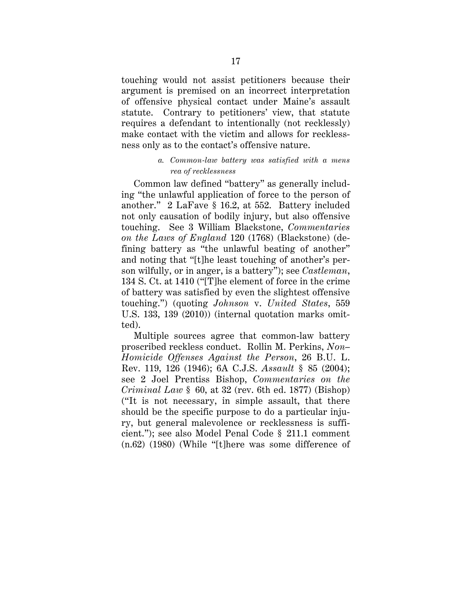touching would not assist petitioners because their argument is premised on an incorrect interpretation of offensive physical contact under Maine's assault statute. Contrary to petitioners' view, that statute requires a defendant to intentionally (not recklessly) make contact with the victim and allows for recklessness only as to the contact's offensive nature.

#### *a. Common-law battery was satisfied with a mens rea of recklessness*

Common law defined "battery" as generally including "the unlawful application of force to the person of another." 2 LaFave § 16.2, at 552. Battery included not only causation of bodily injury, but also offensive touching. See 3 William Blackstone, *Commentaries on the Laws of England* 120 (1768) (Blackstone) (defining battery as "the unlawful beating of another" and noting that "[t]he least touching of another's person wilfully, or in anger, is a battery"); see *Castleman*, 134 S. Ct. at 1410 ("[T]he element of force in the crime of battery was satisfied by even the slightest offensive touching.") (quoting *Johnson* v. *United States*, 559 U.S. 133, 139 (2010)) (internal quotation marks omitted).

Multiple sources agree that common-law battery proscribed reckless conduct. Rollin M. Perkins, *Non– Homicide Offenses Against the Person*, 26 B.U. L. Rev. 119, 126 (1946); 6A C.J.S. *Assault* § 85 (2004); see 2 Joel Prentiss Bishop, *Commentaries on the Criminal Law* § 60, at 32 (rev. 6th ed. 1877) (Bishop) ("It is not necessary, in simple assault, that there should be the specific purpose to do a particular injury, but general malevolence or recklessness is sufficient."); see also Model Penal Code § 211.1 comment (n.62) (1980) (While "[t]here was some difference of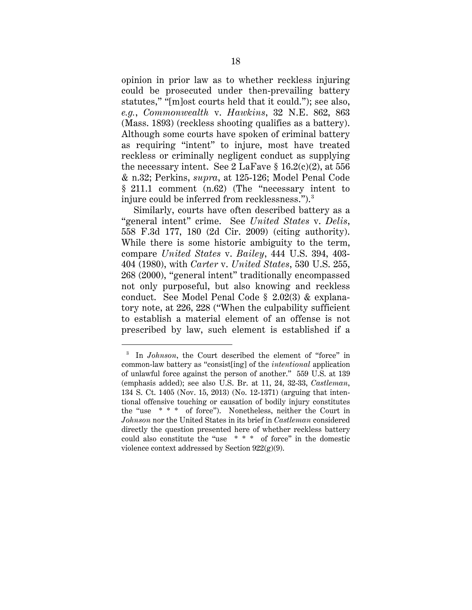opinion in prior law as to whether reckless injuring could be prosecuted under then-prevailing battery statutes," "[m]ost courts held that it could."); see also, *e.g.*, *Commonwealth* v. *Hawkins*, 32 N.E. 862, 863 (Mass. 1893) (reckless shooting qualifies as a battery). Although some courts have spoken of criminal battery as requiring "intent" to injure, most have treated reckless or criminally negligent conduct as supplying the necessary intent. See 2 LaFave  $\S 16.2(c)(2)$ , at 556 & n.32; Perkins, *supra*, at 125-126; Model Penal Code § 211.1 comment (n.62) (The "necessary intent to injure could be inferred from recklessness."). $^3$ 

Similarly, courts have often described battery as a "general intent" crime. See *United States* v. *Delis*, 558 F.3d 177, 180 (2d Cir. 2009) (citing authority). While there is some historic ambiguity to the term, compare *United States* v. *Bailey*, 444 U.S. 394, 403- 404 (1980), with *Carter* v. *United States*, 530 U.S. 255, 268 (2000), "general intent" traditionally encompassed not only purposeful, but also knowing and reckless conduct. See Model Penal Code § 2.02(3) & explanatory note, at 226, 228 ("When the culpability sufficient to establish a material element of an offense is not prescribed by law, such element is established if a

 <sup>3</sup> In *Johnson*, the Court described the element of "force" in common-law battery as "consist[ing] of the *intentional* application of unlawful force against the person of another." 559 U.S. at 139 (emphasis added); see also U.S. Br. at 11, 24, 32-33, *Castleman*, 134 S. Ct. 1405 (Nov. 15, 2013) (No. 12-1371) (arguing that intentional offensive touching or causation of bodily injury constitutes the "use \* \* \* of force"). Nonetheless, neither the Court in *Johnson* nor the United States in its brief in *Castleman* considered directly the question presented here of whether reckless battery could also constitute the "use \* \* \* of force" in the domestic violence context addressed by Section  $922(g)(9)$ .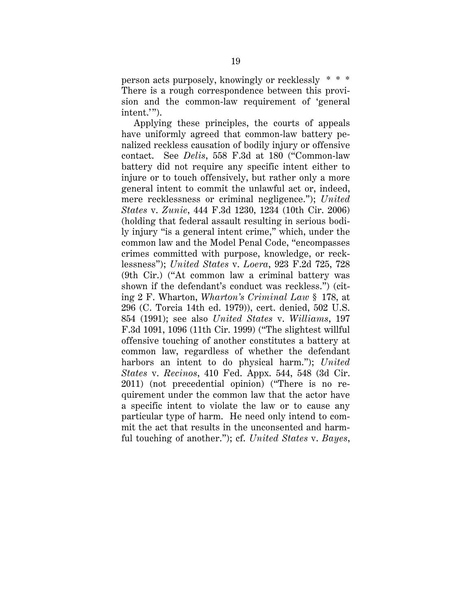person acts purposely, knowingly or recklessly \* \* \* There is a rough correspondence between this provision and the common-law requirement of 'general intent.'").

Applying these principles, the courts of appeals have uniformly agreed that common-law battery penalized reckless causation of bodily injury or offensive contact. See *Delis*, 558 F.3d at 180 ("Common-law battery did not require any specific intent either to injure or to touch offensively, but rather only a more general intent to commit the unlawful act or, indeed, mere recklessness or criminal negligence."); *United States* v. *Zunie*, 444 F.3d 1230, 1234 (10th Cir. 2006) (holding that federal assault resulting in serious bodily injury "is a general intent crime," which, under the common law and the Model Penal Code, "encompasses crimes committed with purpose, knowledge, or recklessness"); *United States* v. *Loera*, 923 F.2d 725, 728 (9th Cir.) ("At common law a criminal battery was shown if the defendant's conduct was reckless.") (citing 2 F. Wharton, *Wharton's Criminal Law* § 178, at 296 (C. Torcia 14th ed. 1979)), cert. denied, 502 U.S. 854 (1991); see also *United States* v. *Williams*, 197 F.3d 1091, 1096 (11th Cir. 1999) ("The slightest willful offensive touching of another constitutes a battery at common law, regardless of whether the defendant harbors an intent to do physical harm."); *United States* v. *Recinos*, 410 Fed. Appx. 544, 548 (3d Cir. 2011) (not precedential opinion) ("There is no requirement under the common law that the actor have a specific intent to violate the law or to cause any particular type of harm. He need only intend to commit the act that results in the unconsented and harmful touching of another."); cf. *United States* v. *Bayes*,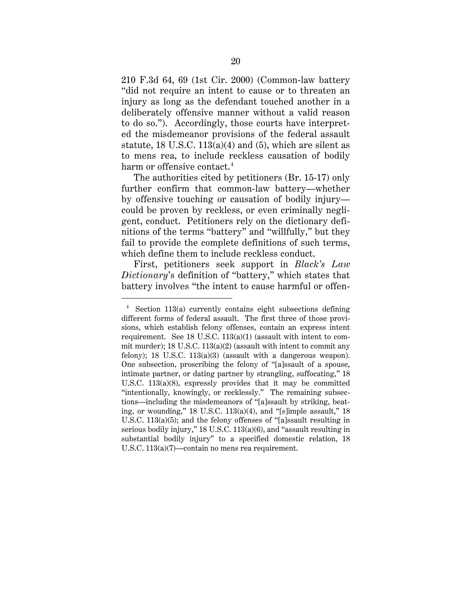210 F.3d 64, 69 (1st Cir. 2000) (Common-law battery "did not require an intent to cause or to threaten an injury as long as the defendant touched another in a deliberately offensive manner without a valid reason to do so."). Accordingly, those courts have interpreted the misdemeanor provisions of the federal assault statute, 18 U.S.C.  $113(a)(4)$  and  $(5)$ , which are silent as to mens rea, to include reckless causation of bodily harm or offensive contact. 4

The authorities cited by petitioners (Br. 15-17) only further confirm that common-law battery—whether by offensive touching or causation of bodily injury could be proven by reckless, or even criminally negligent, conduct. Petitioners rely on the dictionary definitions of the terms "battery" and "willfully," but they fail to provide the complete definitions of such terms, which define them to include reckless conduct.

First, petitioners seek support in *Black's Law Dictionary*'s definition of "battery," which states that battery involves "the intent to cause harmful or offen-

 <sup>4</sup> Section 113(a) currently contains eight subsections defining different forms of federal assault. The first three of those provisions, which establish felony offenses, contain an express intent requirement. See 18 U.S.C. 113(a)(1) (assault with intent to commit murder); 18 U.S.C. 113(a)(2) (assault with intent to commit any felony); 18 U.S.C. 113(a)(3) (assault with a dangerous weapon). One subsection, proscribing the felony of "[a]ssault of a spouse, intimate partner, or dating partner by strangling, suffocating," 18 U.S.C. 113(a)(8), expressly provides that it may be committed "intentionally, knowingly, or recklessly." The remaining subsections—including the misdemeanors of "[a]ssault by striking, beating, or wounding," 18 U.S.C. 113(a)(4), and "[s]imple assault," 18 U.S.C. 113(a)(5); and the felony offenses of "[a]ssault resulting in serious bodily injury," 18 U.S.C. 113(a)(6), and "assault resulting in substantial bodily injury" to a specified domestic relation, 18 U.S.C. 113(a)(7)—contain no mens rea requirement.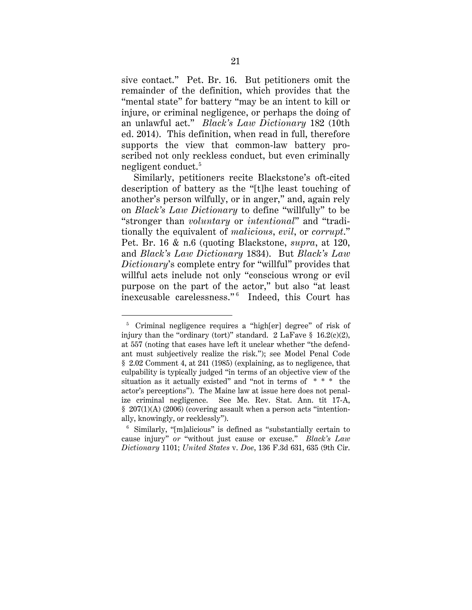sive contact." Pet. Br. 16. But petitioners omit the remainder of the definition, which provides that the "mental state" for battery "may be an intent to kill or injure, or criminal negligence, or perhaps the doing of an unlawful act." *Black's Law Dictionary* 182 (10th ed. 2014). This definition, when read in full, therefore supports the view that common-law battery proscribed not only reckless conduct, but even criminally negligent conduct. 5

Similarly, petitioners recite Blackstone's oft-cited description of battery as the "[t]he least touching of another's person wilfully, or in anger," and, again rely on *Black's Law Dictionary* to define "willfully" to be "stronger than *voluntary* or *intentional*" and "traditionally the equivalent of *malicious*, *evil*, or *corrupt*." Pet. Br. 16 & n.6 (quoting Blackstone, *supra*, at 120, and *Black's Law Dictionary* 1834). But *Black's Law Dictionary*'s complete entry for "willful" provides that willful acts include not only "conscious wrong or evil purpose on the part of the actor," but also "at least inexcusable carelessness."<sup>6</sup> Indeed, this Court has

 <sup>5</sup> Criminal negligence requires a "high[er] degree" of risk of injury than the "ordinary (tort)" standard. 2 LaFave  $\S$  16.2(c)(2), at 557 (noting that cases have left it unclear whether "the defendant must subjectively realize the risk."); see Model Penal Code § 2.02 Comment 4, at 241 (1985) (explaining, as to negligence, that culpability is typically judged "in terms of an objective view of the situation as it actually existed" and "not in terms of \* \* \* the actor's perceptions"). The Maine law at issue here does not penalize criminal negligence. See Me. Rev. Stat. Ann. tit 17-A, § 207(1)(A) (2006) (covering assault when a person acts "intentionally, knowingly, or recklessly").

<sup>6</sup> Similarly, "[m]alicious" is defined as "substantially certain to cause injury" *or* "without just cause or excuse." *Black's Law Dictionary* 1101; *United States* v. *Doe*, 136 F.3d 631, 635 (9th Cir.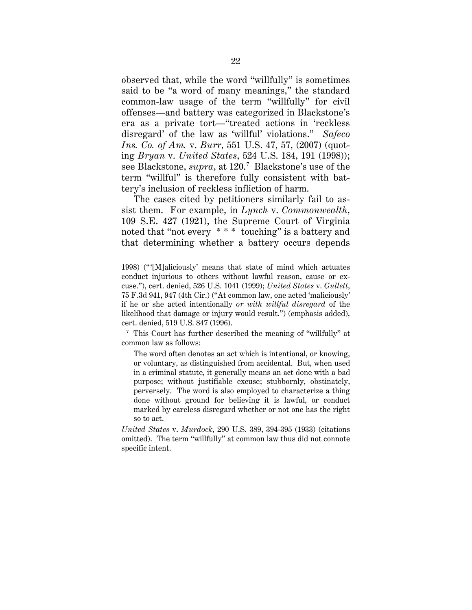observed that, while the word "willfully" is sometimes said to be "a word of many meanings," the standard common-law usage of the term "willfully" for civil offenses—and battery was categorized in Blackstone's era as a private tort—"treated actions in 'reckless disregard' of the law as 'willful' violations." *Safeco Ins. Co. of Am.* v. *Burr*, 551 U.S. 47, 57, (2007) (quoting *Bryan* v. *United States*, 524 U.S. 184, 191 (1998)); see Blackstone, *supra*, at 120. 7 Blackstone's use of the term "willful" is therefore fully consistent with battery's inclusion of reckless infliction of harm.

The cases cited by petitioners similarly fail to assist them. For example, in *Lynch* v. *Commonwealth*, 109 S.E. 427 (1921), the Supreme Court of Virginia noted that "not every \* \* \* touching" is a battery and that determining whether a battery occurs depends

 $\overline{a}$ 

<sup>1998) (&</sup>quot;[M]aliciously' means that state of mind which actuates conduct injurious to others without lawful reason, cause or excuse."), cert. denied, 526 U.S. 1041 (1999); *United States* v. *Gullett*, 75 F.3d 941, 947 (4th Cir.) ("At common law, one acted 'maliciously' if he or she acted intentionally *or with willful disregard* of the likelihood that damage or injury would result.") (emphasis added), cert. denied, 519 U.S. 847 (1996).

<sup>7</sup> This Court has further described the meaning of "willfully" at common law as follows:

The word often denotes an act which is intentional, or knowing, or voluntary, as distinguished from accidental. But, when used in a criminal statute, it generally means an act done with a bad purpose; without justifiable excuse; stubbornly, obstinately, perversely. The word is also employed to characterize a thing done without ground for believing it is lawful, or conduct marked by careless disregard whether or not one has the right so to act.

*United States* v. *Murdock*, 290 U.S. 389, 394-395 (1933) (citations omitted). The term "willfully" at common law thus did not connote specific intent.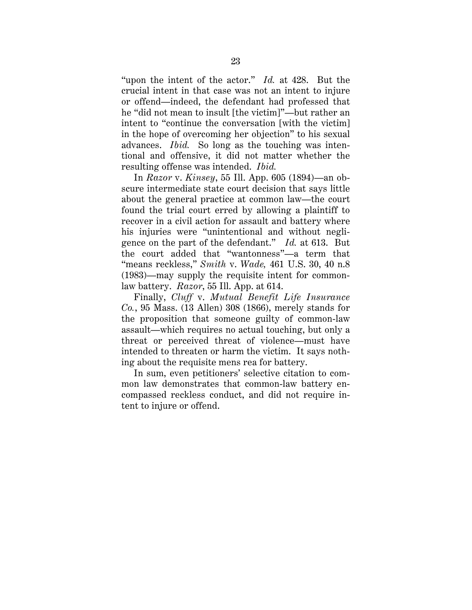"upon the intent of the actor." *Id.* at 428. But the crucial intent in that case was not an intent to injure or offend—indeed, the defendant had professed that he "did not mean to insult [the victim]"—but rather an intent to "continue the conversation [with the victim] in the hope of overcoming her objection" to his sexual advances. *Ibid.* So long as the touching was intentional and offensive, it did not matter whether the resulting offense was intended. *Ibid.*

In *Razor* v. *Kinsey*, 55 Ill. App. 605 (1894)—an obscure intermediate state court decision that says little about the general practice at common law—the court found the trial court erred by allowing a plaintiff to recover in a civil action for assault and battery where his injuries were "unintentional and without negligence on the part of the defendant." *Id.* at 613. But the court added that "wantonness"—a term that "means reckless," *Smith* v. *Wade,* 461 U.S. 30, 40 n.8 (1983)—may supply the requisite intent for commonlaw battery. *Razor*, 55 Ill. App. at 614.

Finally, *Cluff* v. *Mutual Benefit Life Insurance Co.*, 95 Mass. (13 Allen) 308 (1866), merely stands for the proposition that someone guilty of common-law assault—which requires no actual touching, but only a threat or perceived threat of violence—must have intended to threaten or harm the victim. It says nothing about the requisite mens rea for battery.

In sum, even petitioners' selective citation to common law demonstrates that common-law battery encompassed reckless conduct, and did not require intent to injure or offend.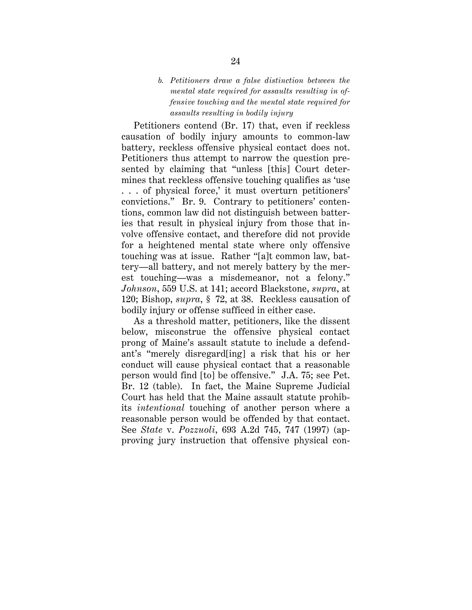## *b. Petitioners draw a false distinction between the mental state required for assaults resulting in offensive touching and the mental state required for assaults resulting in bodily injury*

Petitioners contend (Br. 17) that, even if reckless causation of bodily injury amounts to common-law battery, reckless offensive physical contact does not. Petitioners thus attempt to narrow the question presented by claiming that "unless [this] Court determines that reckless offensive touching qualifies as 'use . . . of physical force,' it must overturn petitioners' convictions." Br. 9. Contrary to petitioners' contentions, common law did not distinguish between batteries that result in physical injury from those that involve offensive contact, and therefore did not provide for a heightened mental state where only offensive touching was at issue. Rather "[a]t common law, battery—all battery, and not merely battery by the merest touching—was a misdemeanor, not a felony." *Johnson*, 559 U.S. at 141; accord Blackstone, *supra*, at 120; Bishop, *supra*, § 72, at 38. Reckless causation of bodily injury or offense sufficed in either case.

As a threshold matter, petitioners, like the dissent below, misconstrue the offensive physical contact prong of Maine's assault statute to include a defendant's "merely disregard[ing] a risk that his or her conduct will cause physical contact that a reasonable person would find [to] be offensive." J.A. 75; see Pet. Br. 12 (table). In fact, the Maine Supreme Judicial Court has held that the Maine assault statute prohibits *intentional* touching of another person where a reasonable person would be offended by that contact. See *State* v. *Pozzuoli*, 693 A.2d 745, 747 (1997) (approving jury instruction that offensive physical con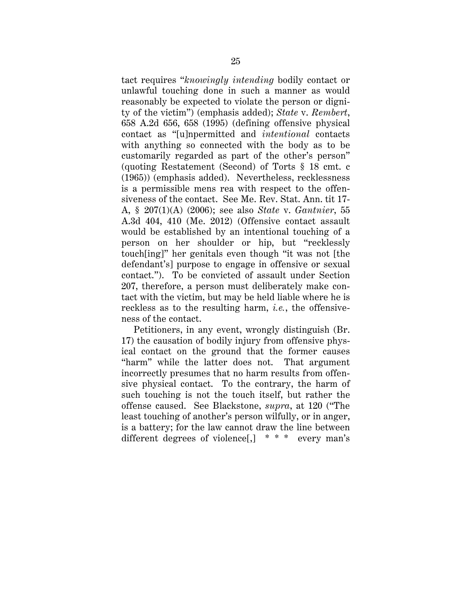tact requires "*knowingly intending* bodily contact or unlawful touching done in such a manner as would reasonably be expected to violate the person or dignity of the victim") (emphasis added); *State* v. *Rembert*, 658 A.2d 656, 658 (1995) (defining offensive physical contact as "[u]npermitted and *intentional* contacts with anything so connected with the body as to be customarily regarded as part of the other's person" (quoting Restatement (Second) of Torts § 18 cmt. c (1965)) (emphasis added). Nevertheless, recklessness is a permissible mens rea with respect to the offensiveness of the contact. See Me. Rev. Stat. Ann. tit 17- A, § 207(1)(A) (2006); see also *State* v. *Gantnier*, 55 A.3d 404, 410 (Me. 2012) (Offensive contact assault would be established by an intentional touching of a person on her shoulder or hip, but "recklessly touch[ing]" her genitals even though "it was not [the defendant's] purpose to engage in offensive or sexual contact."). To be convicted of assault under Section 207, therefore, a person must deliberately make contact with the victim, but may be held liable where he is reckless as to the resulting harm, *i.e.*, the offensiveness of the contact.

Petitioners, in any event, wrongly distinguish (Br. 17) the causation of bodily injury from offensive physical contact on the ground that the former causes "harm" while the latter does not. That argument incorrectly presumes that no harm results from offensive physical contact. To the contrary, the harm of such touching is not the touch itself, but rather the offense caused. See Blackstone, *supra*, at 120 ("The least touching of another's person wilfully, or in anger, is a battery; for the law cannot draw the line between different degrees of violence[,] \* \* \* every man's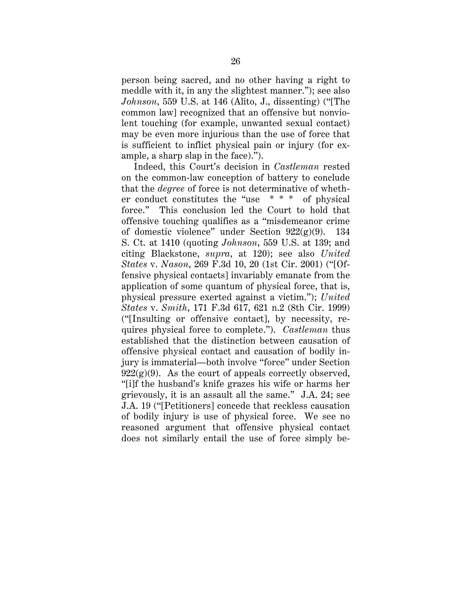person being sacred, and no other having a right to meddle with it, in any the slightest manner."); see also *Johnson*, 559 U.S. at 146 (Alito, J., dissenting) ("[The common law] recognized that an offensive but nonviolent touching (for example, unwanted sexual contact) may be even more injurious than the use of force that is sufficient to inflict physical pain or injury (for example, a sharp slap in the face).").

Indeed, this Court's decision in *Castleman* rested on the common-law conception of battery to conclude that the *degree* of force is not determinative of whether conduct constitutes the "use \* \* \* of physical force." This conclusion led the Court to hold that offensive touching qualifies as a "misdemeanor crime of domestic violence" under Section 922(g)(9). 134 S. Ct. at 1410 (quoting *Johnson*, 559 U.S. at 139; and citing Blackstone, *supra*, at 120); see also *United States* v. *Nason*, 269 F.3d 10, 20 (1st Cir. 2001) ("[Offensive physical contacts] invariably emanate from the application of some quantum of physical force, that is, physical pressure exerted against a victim."); *United States* v. *Smith*, 171 F.3d 617, 621 n.2 (8th Cir. 1999) ("[Insulting or offensive contact], by necessity, requires physical force to complete."). *Castleman* thus established that the distinction between causation of offensive physical contact and causation of bodily injury is immaterial—both involve "force" under Section  $922(g)(9)$ . As the court of appeals correctly observed, "[i]f the husband's knife grazes his wife or harms her grievously, it is an assault all the same." J.A. 24; see J.A. 19 ("[Petitioners] concede that reckless causation of bodily injury is use of physical force. We see no reasoned argument that offensive physical contact does not similarly entail the use of force simply be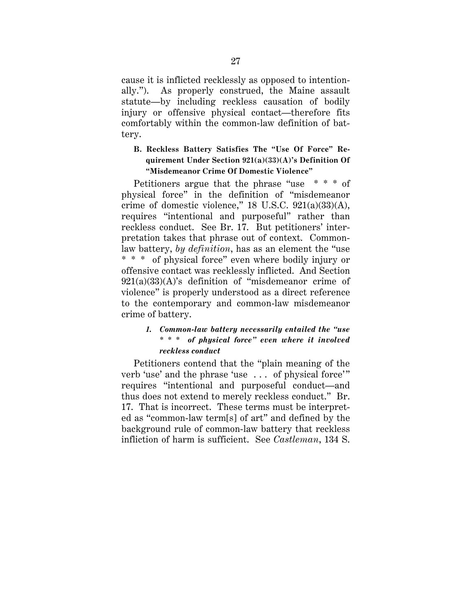cause it is inflicted recklessly as opposed to intentionally."). As properly construed, the Maine assault statute—by including reckless causation of bodily injury or offensive physical contact—therefore fits comfortably within the common-law definition of battery.

# **B. Reckless Battery Satisfies The "Use Of Force" Requirement Under Section 921(a)(33)(A)'s Definition Of "Misdemeanor Crime Of Domestic Violence"**

Petitioners argue that the phrase "use \* \* \* of physical force" in the definition of "misdemeanor crime of domestic violence,"  $18$  U.S.C.  $921(a)(33)(A)$ , requires "intentional and purposeful" rather than reckless conduct. See Br. 17. But petitioners' interpretation takes that phrase out of context. Commonlaw battery, *by definition*, has as an element the "use \* \* \* of physical force" even where bodily injury or offensive contact was recklessly inflicted. And Section  $921(a)(33)(A)$ 's definition of "misdemeanor crime of violence" is properly understood as a direct reference to the contemporary and common-law misdemeanor crime of battery.

# *1. Common-law battery necessarily entailed the "use \* \* \* of physical force" even where it involved reckless conduct*

Petitioners contend that the "plain meaning of the verb 'use' and the phrase 'use ... of physical force'" requires "intentional and purposeful conduct—and thus does not extend to merely reckless conduct." Br. 17. That is incorrect. These terms must be interpreted as "common-law term[s] of art" and defined by the background rule of common-law battery that reckless infliction of harm is sufficient. See *Castleman*, 134 S.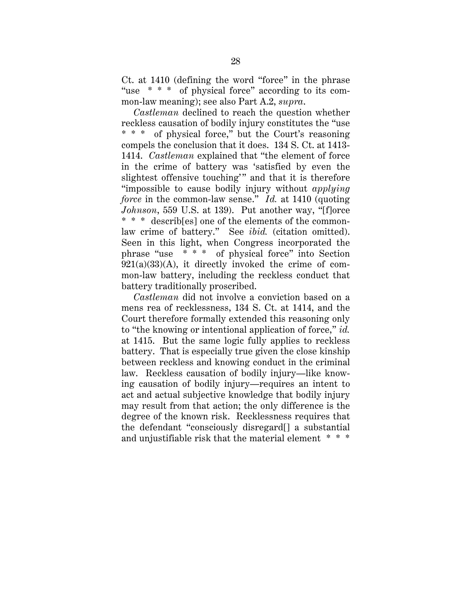Ct. at 1410 (defining the word "force" in the phrase "use \* \* \* of physical force" according to its common-law meaning); see also Part A.2, *supra*.

*Castleman* declined to reach the question whether reckless causation of bodily injury constitutes the "use \* \* \* of physical force," but the Court's reasoning compels the conclusion that it does. 134 S. Ct. at 1413- 1414. *Castleman* explained that "the element of force in the crime of battery was 'satisfied by even the slightest offensive touching'" and that it is therefore "impossible to cause bodily injury without *applying force* in the common-law sense." *Id.* at 1410 (quoting *Johnson*, 559 U.S. at 139). Put another way, "[f]orce \* \* \* describ[es] one of the elements of the commonlaw crime of battery." See *ibid.* (citation omitted). Seen in this light, when Congress incorporated the phrase "use \* \* \* of physical force" into Section  $921(a)(33)(A)$ , it directly invoked the crime of common-law battery, including the reckless conduct that battery traditionally proscribed.

*Castleman* did not involve a conviction based on a mens rea of recklessness, 134 S. Ct. at 1414, and the Court therefore formally extended this reasoning only to "the knowing or intentional application of force," *id.* at 1415. But the same logic fully applies to reckless battery. That is especially true given the close kinship between reckless and knowing conduct in the criminal law. Reckless causation of bodily injury—like knowing causation of bodily injury—requires an intent to act and actual subjective knowledge that bodily injury may result from that action; the only difference is the degree of the known risk. Recklessness requires that the defendant "consciously disregard[] a substantial and unjustifiable risk that the material element \* \* \*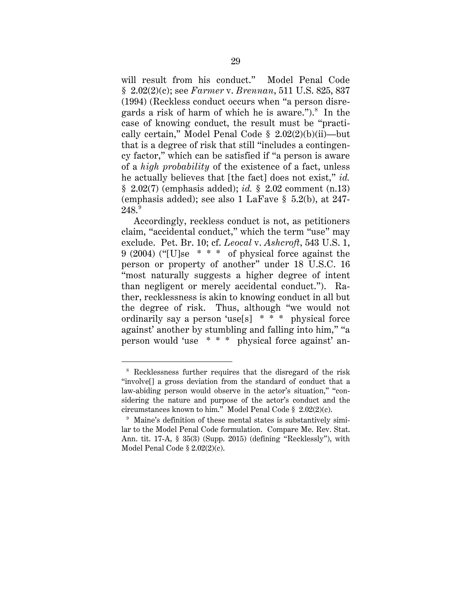will result from his conduct." Model Penal Code § 2.02(2)(c); see *Farmer* v. *Brennan*, 511 U.S. 825, 837 (1994) (Reckless conduct occurs when "a person disregards a risk of harm of which he is aware.").<sup>8</sup> In the case of knowing conduct, the result must be "practically certain," Model Penal Code § 2.02(2)(b)(ii)—but that is a degree of risk that still "includes a contingency factor," which can be satisfied if "a person is aware of a *high probability* of the existence of a fact, unless he actually believes that [the fact] does not exist," *id.* § 2.02(7) (emphasis added); *id.* § 2.02 comment (n.13) (emphasis added); see also 1 LaFave § 5.2(b), at 247-  $248.^\mathrm{9}$ 

Accordingly, reckless conduct is not, as petitioners claim, "accidental conduct," which the term "use" may exclude. Pet. Br. 10; cf. *Leocal* v. *Ashcroft*, 543 U.S. 1, 9 (2004) ("[U]se \* \* \* of physical force against the person or property of another" under 18 U.S.C. 16 "most naturally suggests a higher degree of intent than negligent or merely accidental conduct."). Rather, recklessness is akin to knowing conduct in all but the degree of risk. Thus, although "we would not ordinarily say a person 'use[s] \* \* \* physical force against' another by stumbling and falling into him," "a person would 'use \* \* \* physical force against' an-

 <sup>8</sup> Recklessness further requires that the disregard of the risk "involve[] a gross deviation from the standard of conduct that a law-abiding person would observe in the actor's situation," "considering the nature and purpose of the actor's conduct and the circumstances known to him." Model Penal Code § 2.02(2)(c).

<sup>&</sup>lt;sup>9</sup> Maine's definition of these mental states is substantively similar to the Model Penal Code formulation. Compare Me. Rev. Stat. Ann. tit. 17-A, § 35(3) (Supp. 2015) (defining "Recklessly"), with Model Penal Code § 2.02(2)(c).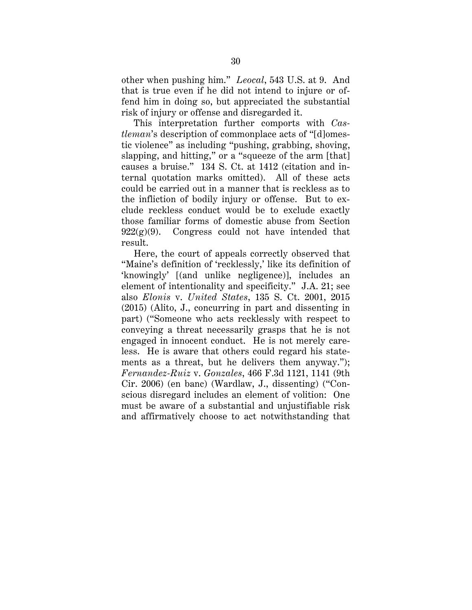other when pushing him." *Leocal*, 543 U.S. at 9. And that is true even if he did not intend to injure or offend him in doing so, but appreciated the substantial risk of injury or offense and disregarded it.

This interpretation further comports with *Castleman*'s description of commonplace acts of "[d]omestic violence" as including "pushing, grabbing, shoving, slapping, and hitting," or a "squeeze of the arm [that] causes a bruise." 134 S. Ct. at 1412 (citation and internal quotation marks omitted). All of these acts could be carried out in a manner that is reckless as to the infliction of bodily injury or offense. But to exclude reckless conduct would be to exclude exactly those familiar forms of domestic abuse from Section  $922(g)(9)$ . Congress could not have intended that result.

Here, the court of appeals correctly observed that "Maine's definition of 'recklessly,' like its definition of 'knowingly' [(and unlike negligence)], includes an element of intentionality and specificity." J.A. 21; see also *Elonis* v. *United States*, 135 S. Ct. 2001, 2015 (2015) (Alito, J., concurring in part and dissenting in part) ("Someone who acts recklessly with respect to conveying a threat necessarily grasps that he is not engaged in innocent conduct. He is not merely careless. He is aware that others could regard his statements as a threat, but he delivers them anyway."); *Fernandez-Ruiz* v. *Gonzales*, 466 F.3d 1121, 1141 (9th Cir. 2006) (en banc) (Wardlaw, J., dissenting) ("Conscious disregard includes an element of volition: One must be aware of a substantial and unjustifiable risk and affirmatively choose to act notwithstanding that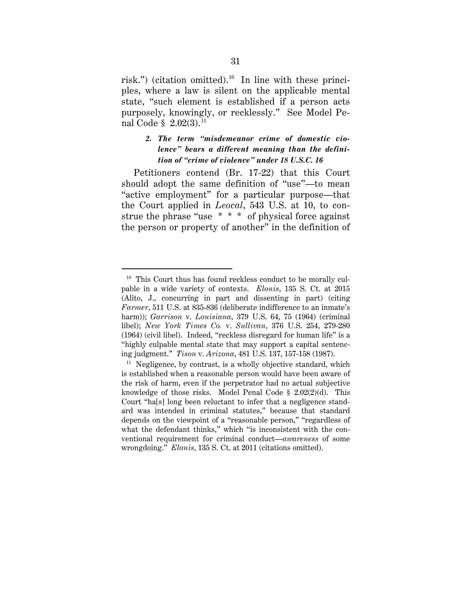risk.") (citation omitted). 10 In line with these principles, where a law is silent on the applicable mental state, "such element is established if a person acts purposely, knowingly, or recklessly." See Model Penal Code § 2.02(3). 11

# *2. The term "misdemeanor crime of domestic violence" bears a different meaning than the definition of "crime of violence" under 18 U.S.C. 16*

Petitioners contend (Br. 17-22) that this Court should adopt the same definition of "use"—to mean "active employment" for a particular purpose—that the Court applied in *Leocal*, 543 U.S. at 10, to construe the phrase "use \* \* \* of physical force against the person or property of another" in the definition of

 $10$  This Court thus has found reckless conduct to be morally culpable in a wide variety of contexts. *Elonis*, 135 S. Ct. at 2015 (Alito, J., concurring in part and dissenting in part) (citing *Farmer*, 511 U.S. at 835-836 (deliberate indifference to an inmate's harm)); *Garrison* v. *Louisiana*, 379 U.S. 64, 75 (1964) (criminal libel); *New York Times Co.* v. *Sullivan*, 376 U.S. 254, 279-280 (1964) (civil libel). Indeed, "reckless disregard for human life" is a "highly culpable mental state that may support a capital sentencing judgment." *Tison* v. *Arizona*, 481 U.S. 137, 157-158 (1987).<br><sup>11</sup> Negligence, by contrast, is a wholly objective standard, which

is established when a reasonable person would have been aware of the risk of harm, even if the perpetrator had no actual subjective knowledge of those risks. Model Penal Code § 2.02(2)(d). This Court "ha[s] long been reluctant to infer that a negligence standard was intended in criminal statutes," because that standard depends on the viewpoint of a "reasonable person," "regardless of what the defendant thinks," which "is inconsistent with the conventional requirement for criminal conduct—*awareness* of some wrongdoing." *Elonis*, 135 S. Ct. at 2011 (citations omitted).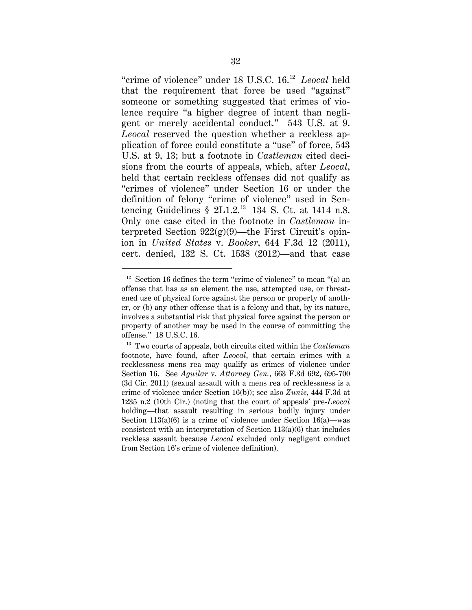"crime of violence" under 18 U.S.C. 16. 12 *Leocal* held that the requirement that force be used "against" someone or something suggested that crimes of violence require "a higher degree of intent than negligent or merely accidental conduct." 543 U.S. at 9. *Leocal* reserved the question whether a reckless application of force could constitute a "use" of force, 543 U.S. at 9, 13; but a footnote in *Castleman* cited decisions from the courts of appeals, which, after *Leocal*, held that certain reckless offenses did not qualify as "crimes of violence" under Section 16 or under the definition of felony "crime of violence" used in Sentencing Guidelines  $\S$  2L1.2.<sup>13</sup> 134 S. Ct. at 1414 n.8. Only one case cited in the footnote in *Castleman* interpreted Section  $922(g)(9)$ —the First Circuit's opinion in *United States* v. *Booker*, 644 F.3d 12 (2011), cert. denied, 132 S. Ct. 1538 (2012)—and that case

<sup>&</sup>lt;sup>12</sup> Section 16 defines the term "crime of violence" to mean "(a) an offense that has as an element the use, attempted use, or threatened use of physical force against the person or property of another, or (b) any other offense that is a felony and that, by its nature, involves a substantial risk that physical force against the person or property of another may be used in the course of committing the offense." 18 U.S.C. 16.

<sup>13</sup> Two courts of appeals, both circuits cited within the *Castleman* footnote, have found, after *Leocal*, that certain crimes with a recklessness mens rea may qualify as crimes of violence under Section 16. See *Aguilar* v. *Attorney Gen.*, 663 F.3d 692, 695-700 (3d Cir. 2011) (sexual assault with a mens rea of recklessness is a crime of violence under Section 16(b)); see also *Zunie*, 444 F.3d at 1235 n.2 (10th Cir.) (noting that the court of appeals' pre-*Leocal* holding—that assault resulting in serious bodily injury under Section 113(a)(6) is a crime of violence under Section 16(a)—was consistent with an interpretation of Section 113(a)(6) that includes reckless assault because *Leocal* excluded only negligent conduct from Section 16's crime of violence definition).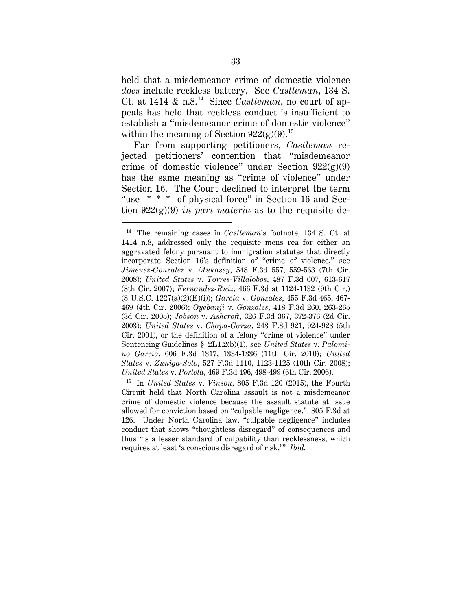held that a misdemeanor crime of domestic violence *does* include reckless battery. See *Castleman*, 134 S. Ct. at 1414  $\&$  n.8.<sup>14</sup> Since *Castleman*, no court of appeals has held that reckless conduct is insufficient to establish a "misdemeanor crime of domestic violence" within the meaning of Section  $922(g)(9)$ .<sup>15</sup>

Far from supporting petitioners, *Castleman* rejected petitioners' contention that "misdemeanor crime of domestic violence" under Section  $922(g)(9)$ has the same meaning as "crime of violence" under Section 16. The Court declined to interpret the term "use \* \* \* of physical force" in Section 16 and Section 922(g)(9) *in pari materia* as to the requisite de-

 <sup>14</sup> The remaining cases in *Castleman*'s footnote, 134 S. Ct. at 1414 n.8, addressed only the requisite mens rea for either an aggravated felony pursuant to immigration statutes that directly incorporate Section 16's definition of "crime of violence," see *Jimenez-Gonzalez* v. *Mukasey*, 548 F.3d 557, 559-563 (7th Cir. 2008); *United States* v. *Torres-Villalobos*, 487 F.3d 607, 613-617 (8th Cir. 2007); *Fernandez-Ruiz*, 466 F.3d at 1124-1132 (9th Cir.) (8 U.S.C. 1227(a)(2)(E)(i)); *Garcia* v. *Gonzales*, 455 F.3d 465, 467- 469 (4th Cir. 2006); *Oyebanji* v. *Gonzales*, 418 F.3d 260, 263-265 (3d Cir. 2005); *Jobson* v. *Ashcroft*, 326 F.3d 367, 372-376 (2d Cir. 2003); *United States* v. *Chapa-Garza*, 243 F.3d 921, 924-928 (5th Cir. 2001), or the definition of a felony "crime of violence" under Sentencing Guidelines § 2L1.2(b)(1), see *United States* v. *Palomino Garcia*, 606 F.3d 1317, 1334-1336 (11th Cir. 2010); *United States* v. *Zuniga-Soto*, 527 F.3d 1110, 1123-1125 (10th Cir. 2008); *United States* v. *Portela*, 469 F.3d 496, 498-499 (6th Cir. 2006).

<sup>15</sup> In *United States* v. *Vinson*, 805 F.3d 120 (2015), the Fourth Circuit held that North Carolina assault is not a misdemeanor crime of domestic violence because the assault statute at issue allowed for conviction based on "culpable negligence." 805 F.3d at 126. Under North Carolina law, "culpable negligence" includes conduct that shows "thoughtless disregard" of consequences and thus "is a lesser standard of culpability than recklessness, which requires at least 'a conscious disregard of risk.'" *Ibid.*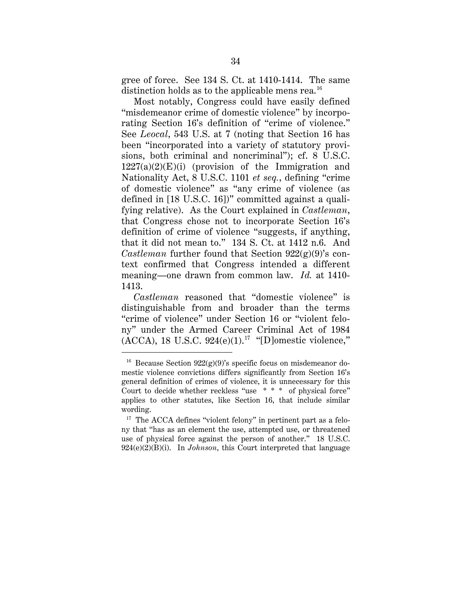gree of force. See 134 S. Ct. at 1410-1414. The same distinction holds as to the applicable mens rea.<sup>16</sup>

Most notably, Congress could have easily defined "misdemeanor crime of domestic violence" by incorporating Section 16's definition of "crime of violence." See *Leocal*, 543 U.S. at 7 (noting that Section 16 has been "incorporated into a variety of statutory provisions, both criminal and noncriminal"); cf. 8 U.S.C.  $1227(a)(2)(E)(i)$  (provision of the Immigration and Nationality Act, 8 U.S.C. 1101 *et seq.*, defining "crime of domestic violence" as "any crime of violence (as defined in [18 U.S.C. 16])" committed against a qualifying relative). As the Court explained in *Castleman*, that Congress chose not to incorporate Section 16's definition of crime of violence "suggests, if anything, that it did not mean to." 134 S. Ct. at 1412 n.6. And *Castleman* further found that Section 922(g)(9)'s context confirmed that Congress intended a different meaning—one drawn from common law. *Id.* at 1410- 1413.

*Castleman* reasoned that "domestic violence" is distinguishable from and broader than the terms "crime of violence" under Section 16 or "violent felony" under the Armed Career Criminal Act of 1984  $(ACCA)$ , 18 U.S.C. 924 $(e)(1)$ .<sup>17</sup> "[D]omestic violence,"

<sup>&</sup>lt;sup>16</sup> Because Section  $922(g)(9)$ 's specific focus on misdemeanor domestic violence convictions differs significantly from Section 16's general definition of crimes of violence, it is unnecessary for this Court to decide whether reckless "use \* \* \* of physical force" applies to other statutes, like Section 16, that include similar wording.

<sup>&</sup>lt;sup>17</sup> The ACCA defines "violent felony" in pertinent part as a felony that "has as an element the use, attempted use, or threatened use of physical force against the person of another." 18 U.S.C. 924(e)(2)(B)(i). In *Johnson*, this Court interpreted that language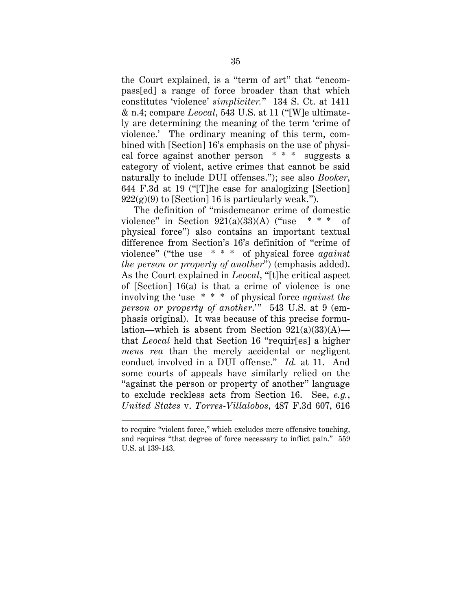the Court explained, is a "term of art" that "encompass[ed] a range of force broader than that which constitutes 'violence' *simpliciter.*" 134 S. Ct. at 1411 & n.4; compare *Leocal*, 543 U.S. at 11 ("[W]e ultimately are determining the meaning of the term 'crime of violence.' The ordinary meaning of this term, combined with [Section] 16's emphasis on the use of physical force against another person \* \* \* suggests a category of violent, active crimes that cannot be said naturally to include DUI offenses."); see also *Booker*, 644 F.3d at 19 ("[T]he case for analogizing [Section]  $922(g)(9)$  to [Section] 16 is particularly weak.").

The definition of "misdemeanor crime of domestic violence" in Section  $921(a)(33)(A)$  ("use \* \* \* of physical force") also contains an important textual difference from Section's 16's definition of "crime of violence" ("the use \* \* \* of physical force *against the person or property of another*") (emphasis added). As the Court explained in *Leocal*, "[t]he critical aspect of [Section] 16(a) is that a crime of violence is one involving the 'use \* \* \* of physical force *against the person or property of another*.'" 543 U.S. at 9 (emphasis original). It was because of this precise formulation—which is absent from Section  $921(a)(33)(A)$  that *Leocal* held that Section 16 "requir[es] a higher *mens rea* than the merely accidental or negligent conduct involved in a DUI offense." *Id.* at 11. And some courts of appeals have similarly relied on the "against the person or property of another" language to exclude reckless acts from Section 16. See, *e.g.*, *United States* v. *Torres-Villalobos*, 487 F.3d 607, 616

 $\ddot{\phantom{a}}$ 

to require "violent force," which excludes mere offensive touching, and requires "that degree of force necessary to inflict pain." 559 U.S. at 139-143.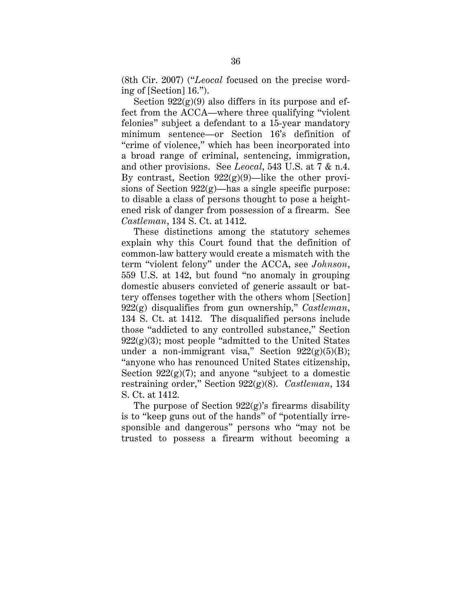(8th Cir. 2007) ("*Leocal* focused on the precise wording of [Section] 16.").

Section  $922(g)(9)$  also differs in its purpose and effect from the ACCA—where three qualifying "violent felonies" subject a defendant to a 15-year mandatory minimum sentence—or Section 16's definition of "crime of violence," which has been incorporated into a broad range of criminal, sentencing, immigration, and other provisions. See *Leocal*, 543 U.S. at 7 & n.4. By contrast, Section  $922(g)(9)$ —like the other provisions of Section  $922(g)$ —has a single specific purpose: to disable a class of persons thought to pose a heightened risk of danger from possession of a firearm. See *Castleman*, 134 S. Ct. at 1412.

These distinctions among the statutory schemes explain why this Court found that the definition of common-law battery would create a mismatch with the term "violent felony" under the ACCA, see *Johnson*, 559 U.S. at 142, but found "no anomaly in grouping domestic abusers convicted of generic assault or battery offenses together with the others whom [Section] 922(g) disqualifies from gun ownership," *Castleman*, 134 S. Ct. at 1412. The disqualified persons include those "addicted to any controlled substance," Section  $922(g)(3)$ ; most people "admitted to the United States" under a non-immigrant visa," Section  $922(g)(5)(B)$ ; "anyone who has renounced United States citizenship, Section  $922(g)(7)$ ; and anyone "subject to a domestic restraining order," Section 922(g)(8). *Castleman*, 134 S. Ct. at 1412.

The purpose of Section  $922(g)$ 's firearms disability is to "keep guns out of the hands" of "potentially irresponsible and dangerous" persons who "may not be trusted to possess a firearm without becoming a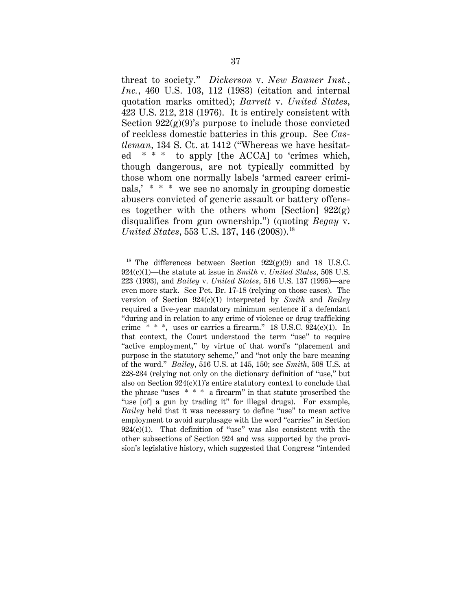threat to society." *Dickerson* v. *New Banner Inst.*, *Inc.*, 460 U.S. 103, 112 (1983) (citation and internal quotation marks omitted); *Barrett* v. *United States*, 423 U.S. 212, 218 (1976). It is entirely consistent with Section  $922(g)(9)$ 's purpose to include those convicted of reckless domestic batteries in this group. See *Castleman*, 134 S. Ct. at 1412 ("Whereas we have hesitated \* \* \* to apply [the ACCA] to 'crimes which, though dangerous, are not typically committed by those whom one normally labels 'armed career criminals,' \* \* \* we see no anomaly in grouping domestic abusers convicted of generic assault or battery offenses together with the others whom [Section]  $922(g)$ disqualifies from gun ownership.") (quoting *Begay* v. *United States*, 553 U.S. 137, 146 (2008)).<sup>18</sup>

<sup>&</sup>lt;sup>18</sup> The differences between Section  $922(g)(9)$  and 18 U.S.C. 924(c)(1)—the statute at issue in *Smith* v. *United States*, 508 U.S. 223 (1993), and *Bailey* v. *United States*, 516 U.S. 137 (1995)—are even more stark. See Pet. Br. 17-18 (relying on those cases). The version of Section 924(c)(1) interpreted by *Smith* and *Bailey*  required a five-year mandatory minimum sentence if a defendant "during and in relation to any crime of violence or drug trafficking crime  $* * *$ , uses or carries a firearm." 18 U.S.C.  $924(c)(1)$ . In that context, the Court understood the term "use" to require "active employment," by virtue of that word's "placement and purpose in the statutory scheme," and "not only the bare meaning of the word." *Bailey*, 516 U.S. at 145, 150; see *Smith*, 508 U.S. at 228-234 (relying not only on the dictionary definition of "use," but also on Section  $924(c)(1)$ 's entire statutory context to conclude that the phrase "uses \* \* \* a firearm" in that statute proscribed the "use [of] a gun by trading it" for illegal drugs). For example, *Bailey* held that it was necessary to define "use" to mean active employment to avoid surplusage with the word "carries" in Section  $924(c)(1)$ . That definition of "use" was also consistent with the other subsections of Section 924 and was supported by the provision's legislative history, which suggested that Congress "intended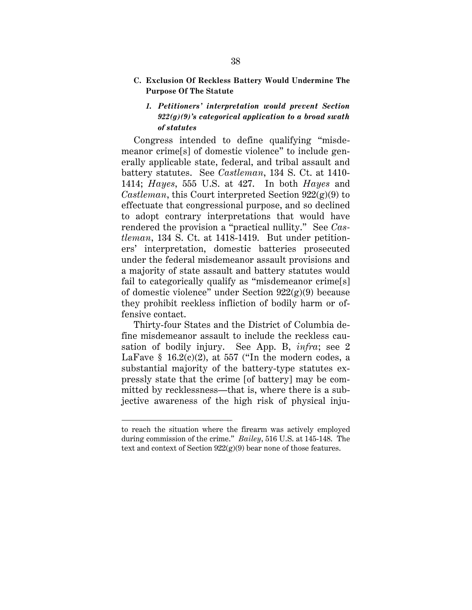**C. Exclusion Of Reckless Battery Would Undermine The Purpose Of The Statute**

## *1. Petitioners' interpretation would prevent Section 922(g)(9)'s categorical application to a broad swath of statutes*

Congress intended to define qualifying "misdemeanor crime[s] of domestic violence" to include generally applicable state, federal, and tribal assault and battery statutes. See *Castleman*, 134 S. Ct. at 1410- 1414; *Hayes*, 555 U.S. at 427. In both *Hayes* and *Castleman*, this Court interpreted Section 922(g)(9) to effectuate that congressional purpose, and so declined to adopt contrary interpretations that would have rendered the provision a "practical nullity." See *Castleman*, 134 S. Ct. at 1418-1419. But under petitioners' interpretation, domestic batteries prosecuted under the federal misdemeanor assault provisions and a majority of state assault and battery statutes would fail to categorically qualify as "misdemeanor crime[s] of domestic violence" under Section 922(g)(9) because they prohibit reckless infliction of bodily harm or offensive contact.

Thirty-four States and the District of Columbia define misdemeanor assault to include the reckless causation of bodily injury. See App. B, *infra*; see 2 LaFave  $\S$  16.2(c)(2), at 557 ("In the modern codes, a substantial majority of the battery-type statutes expressly state that the crime [of battery] may be committed by recklessness—that is, where there is a subjective awareness of the high risk of physical inju-

 $\ddot{\phantom{a}}$ 

to reach the situation where the firearm was actively employed during commission of the crime." *Bailey*, 516 U.S. at 145-148. The text and context of Section  $922(g)(9)$  bear none of those features.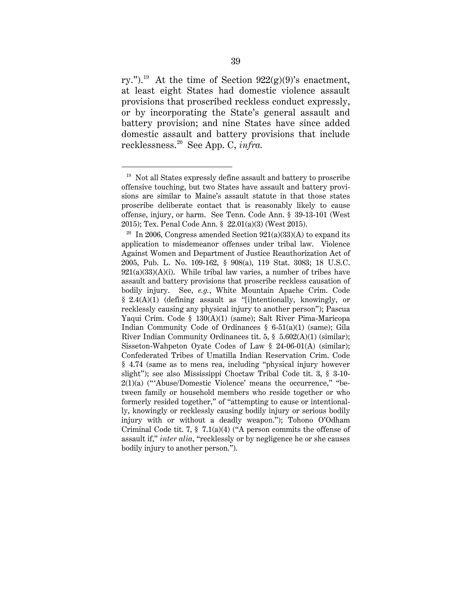ry.").<sup>19</sup> At the time of Section  $922(g)(9)$ 's enactment, at least eight States had domestic violence assault provisions that proscribed reckless conduct expressly, or by incorporating the State's general assault and battery provision; and nine States have since added domestic assault and battery provisions that include recklessness.20 See App. C, *infra.*

 $19$  Not all States expressly define assault and battery to proscribe offensive touching, but two States have assault and battery provisions are similar to Maine's assault statute in that those states proscribe deliberate contact that is reasonably likely to cause offense, injury, or harm. See Tenn. Code Ann. § 39-13-101 (West 2015); Tex. Penal Code Ann. § 22.01(a)(3) (West 2015).

<sup>&</sup>lt;sup>20</sup> In 2006, Congress amended Section  $921(a)(33)(A)$  to expand its application to misdemeanor offenses under tribal law. Violence Against Women and Department of Justice Reauthorization Act of 2005, Pub. L. No. 109-162, § 908(a), 119 Stat. 3083; 18 U.S.C.  $921(a)(33)(A)(i)$ . While tribal law varies, a number of tribes have assault and battery provisions that proscribe reckless causation of bodily injury. See, *e.g.*, White Mountain Apache Crim. Code § 2.4(A)(1) (defining assault as "[i]ntentionally, knowingly, or recklessly causing any physical injury to another person"); Pascua Yaqui Crim. Code § 130(A)(1) (same); Salt River Pima-Maricopa Indian Community Code of Ordinances § 6-51(a)(1) (same); Gila River Indian Community Ordinances tit. 5, § 5.602(A)(1) (similar); Sisseton-Wahpeton Oyate Codes of Law § 24-06-01(A) (similar); Confederated Tribes of Umatilla Indian Reservation Crim. Code § 4.74 (same as to mens rea, including "physical injury however slight"); see also Mississippi Choctaw Tribal Code tit. 3, § 3-10-  $2(1)(a)$  ("'Abuse/Domestic Violence' means the occurrence," "between family or household members who reside together or who formerly resided together," of "attempting to cause or intentionally, knowingly or recklessly causing bodily injury or serious bodily injury with or without a deadly weapon."); Tohono O'Odham Criminal Code tit. 7, § 7.1(a)(4) ("A person commits the offense of assault if," *inter alia*, "recklessly or by negligence he or she causes bodily injury to another person.").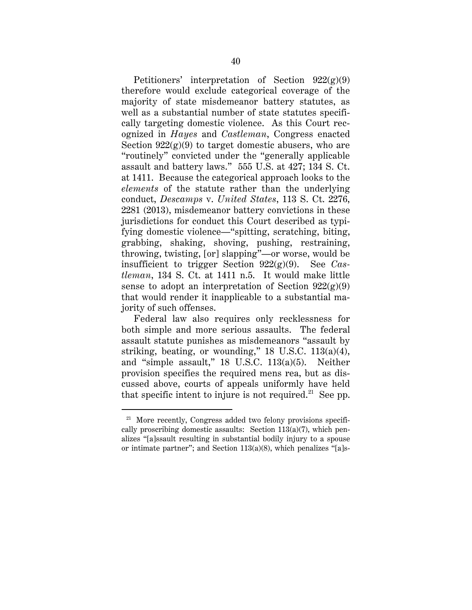Petitioners' interpretation of Section  $922(g)(9)$ therefore would exclude categorical coverage of the majority of state misdemeanor battery statutes, as well as a substantial number of state statutes specifically targeting domestic violence. As this Court recognized in *Hayes* and *Castleman*, Congress enacted Section  $922(g)(9)$  to target domestic abusers, who are "routinely" convicted under the "generally applicable assault and battery laws." 555 U.S. at 427; 134 S. Ct. at 1411. Because the categorical approach looks to the *elements* of the statute rather than the underlying conduct, *Descamps* v. *United States*, 113 S. Ct. 2276, 2281 (2013), misdemeanor battery convictions in these jurisdictions for conduct this Court described as typifying domestic violence—"spitting, scratching, biting, grabbing, shaking, shoving, pushing, restraining, throwing, twisting, [or] slapping"—or worse, would be insufficient to trigger Section 922(g)(9). See *Castleman*, 134 S. Ct. at 1411 n.5. It would make little sense to adopt an interpretation of Section  $922(g)(9)$ that would render it inapplicable to a substantial majority of such offenses.

Federal law also requires only recklessness for both simple and more serious assaults. The federal assault statute punishes as misdemeanors "assault by striking, beating, or wounding," 18 U.S.C. 113(a)(4), and "simple assault," 18 U.S.C. 113(a)(5). Neither provision specifies the required mens rea, but as discussed above, courts of appeals uniformly have held that specific intent to injure is not required.<sup>21</sup> See pp.

 $21$  More recently, Congress added two felony provisions specifically proscribing domestic assaults: Section 113(a)(7), which penalizes "[a]ssault resulting in substantial bodily injury to a spouse or intimate partner"; and Section 113(a)(8), which penalizes "[a]s-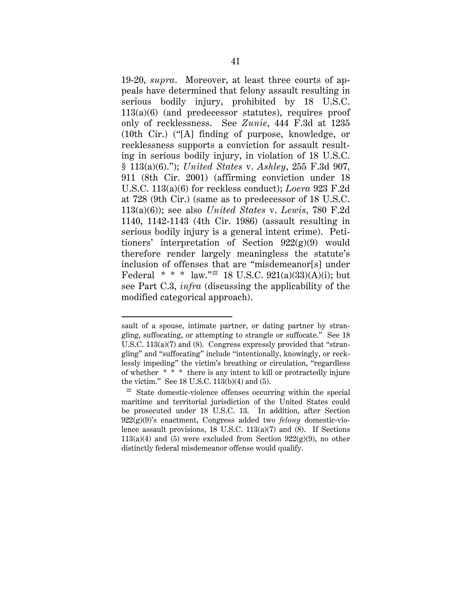19-20, *supra*. Moreover, at least three courts of appeals have determined that felony assault resulting in serious bodily injury, prohibited by 18 U.S.C. 113(a)(6) (and predecessor statutes), requires proof only of recklessness. See *Zunie*, 444 F.3d at 1235 (10th Cir.) ("[A] finding of purpose, knowledge, or recklessness supports a conviction for assault resulting in serious bodily injury, in violation of 18 U.S.C. § 113(a)(6)."); *United States* v. *Ashley*, 255 F.3d 907, 911 (8th Cir. 2001) (affirming conviction under 18 U.S.C. 113(a)(6) for reckless conduct); *Loera* 923 F.2d at 728 (9th Cir.) (same as to predecessor of 18 U.S.C. 113(a)(6)); see also *United States* v. *Lewis*, 780 F.2d 1140, 1142-1143 (4th Cir. 1986) (assault resulting in serious bodily injury is a general intent crime). Petitioners' interpretation of Section  $922(g)(9)$  would therefore render largely meaningless the statute's inclusion of offenses that are "misdemeanor[s] under Federal \* \* \* law."<sup>22</sup> 18 U.S.C. 921(a)(33)(A)(i); but see Part C.3, *infra* (discussing the applicability of the modified categorical approach).

 $\overline{a}$ 

sault of a spouse, intimate partner, or dating partner by strangling, suffocating, or attempting to strangle or suffocate." See 18 U.S.C. 113(a)(7) and (8). Congress expressly provided that "strangling" and "suffocating" include "intentionally, knowingly, or recklessly impeding" the victim's breathing or circulation, "regardless of whether \* \* \* there is any intent to kill or protractedly injure the victim." See 18 U.S.C. 113(b)(4) and (5).<br><sup>22</sup> State domestic-violence offenses occurring within the special

maritime and territorial jurisdiction of the United States could be prosecuted under 18 U.S.C. 13. In addition, after Section 922(g)(9)'s enactment, Congress added two *felony* domestic-violence assault provisions, 18 U.S.C. 113(a)(7) and (8). If Sections  $113(a)(4)$  and (5) were excluded from Section  $922(g)(9)$ , no other distinctly federal misdemeanor offense would qualify.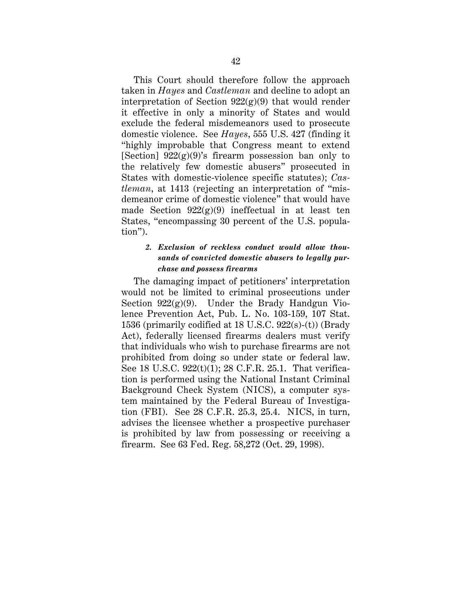This Court should therefore follow the approach taken in *Hayes* and *Castleman* and decline to adopt an interpretation of Section  $922(g)(9)$  that would render it effective in only a minority of States and would exclude the federal misdemeanors used to prosecute domestic violence. See *Hayes*, 555 U.S. 427 (finding it "highly improbable that Congress meant to extend [Section]  $922(g)(9)$ 's firearm possession ban only to the relatively few domestic abusers" prosecuted in States with domestic-violence specific statutes); *Castleman*, at 1413 (rejecting an interpretation of "misdemeanor crime of domestic violence" that would have made Section  $922(g)(9)$  ineffectual in at least ten States, "encompassing 30 percent of the U.S. population").

# *2. Exclusion of reckless conduct would allow thousands of convicted domestic abusers to legally purchase and possess firearms*

The damaging impact of petitioners' interpretation would not be limited to criminal prosecutions under Section  $922(g)(9)$ . Under the Brady Handgun Violence Prevention Act, Pub. L. No. 103-159, 107 Stat. 1536 (primarily codified at 18 U.S.C. 922(s)-(t)) (Brady Act), federally licensed firearms dealers must verify that individuals who wish to purchase firearms are not prohibited from doing so under state or federal law. See 18 U.S.C. 922(t)(1); 28 C.F.R. 25.1. That verification is performed using the National Instant Criminal Background Check System (NICS), a computer system maintained by the Federal Bureau of Investigation (FBI). See 28 C.F.R. 25.3, 25.4. NICS, in turn, advises the licensee whether a prospective purchaser is prohibited by law from possessing or receiving a firearm. See 63 Fed. Reg. 58,272 (Oct. 29, 1998).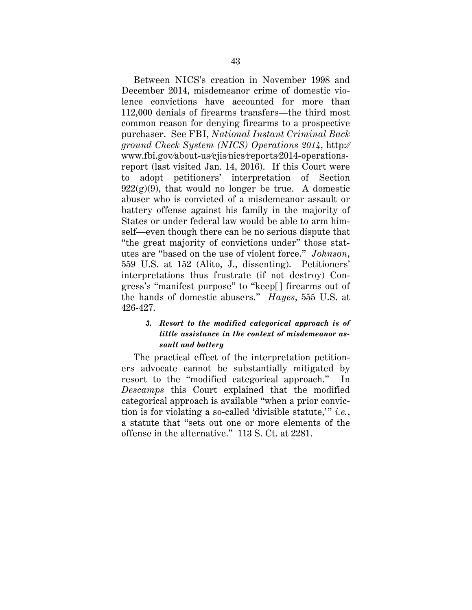Between NICS's creation in November 1998 and December 2014, misdemeanor crime of domestic violence convictions have accounted for more than 112,000 denials of firearms transfers—the third most common reason for denying firearms to a prospective purchaser. See FBI, *National Instant Criminal Back ground Check System (NICS) Operations 2014*, http:⁄⁄ www.fbi.gov⁄about-us⁄cjis⁄nics⁄reports⁄2014-operationsreport (last visited Jan. 14, 2016). If this Court were to adopt petitioners' interpretation of Section  $922(g)(9)$ , that would no longer be true. A domestic abuser who is convicted of a misdemeanor assault or battery offense against his family in the majority of States or under federal law would be able to arm himself—even though there can be no serious dispute that "the great majority of convictions under" those statutes are "based on the use of violent force." *Johnson*, 559 U.S. at 152 (Alito, J., dissenting). Petitioners' interpretations thus frustrate (if not destroy) Congress's "manifest purpose" to "keep[] firearms out of the hands of domestic abusers." *Hayes*, 555 U.S. at 426-427.

# *3. Resort to the modified categorical approach is of little assistance in the context of misdemeanor assault and battery*

The practical effect of the interpretation petitioners advocate cannot be substantially mitigated by resort to the "modified categorical approach." In *Descamps* this Court explained that the modified categorical approach is available "when a prior conviction is for violating a so-called 'divisible statute,'" *i.e.*, a statute that "sets out one or more elements of the offense in the alternative."113 S. Ct. at 2281.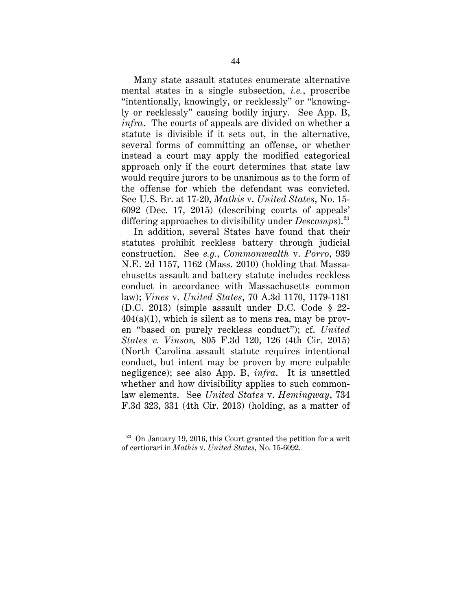Many state assault statutes enumerate alternative mental states in a single subsection, *i.e.*, proscribe "intentionally, knowingly, or recklessly" or "knowingly or recklessly" causing bodily injury. See App. B, *infra*. The courts of appeals are divided on whether a statute is divisible if it sets out, in the alternative, several forms of committing an offense, or whether instead a court may apply the modified categorical approach only if the court determines that state law would require jurors to be unanimous as to the form of the offense for which the defendant was convicted. See U.S. Br. at 17-20, *Mathis* v. *United States*, No. 15- 6092 (Dec. 17, 2015) (describing courts of appeals' differing approaches to divisibility under *Descamps*).23

In addition, several States have found that their statutes prohibit reckless battery through judicial construction. See *e.g.*, *Commonwealth* v. *Porro*, 939 N.E. 2d 1157, 1162 (Mass. 2010) (holding that Massachusetts assault and battery statute includes reckless conduct in accordance with Massachusetts common law); *Vines* v. *United States*, 70 A.3d 1170, 1179-1181 (D.C. 2013) (simple assault under D.C. Code § 22-  $404(a)(1)$ , which is silent as to mens rea, may be proven "based on purely reckless conduct"); cf. *United States v. Vinson,* 805 F.3d 120, 126 (4th Cir. 2015) (North Carolina assault statute requires intentional conduct, but intent may be proven by mere culpable negligence); see also App. B, *infra*. It is unsettled whether and how divisibility applies to such commonlaw elements. See *United States* v. *Hemingway*, 734 F.3d 323, 331 (4th Cir. 2013) (holding, as a matter of

 $23$  On January 19, 2016, this Court granted the petition for a writ of certiorari in *Mathis* v. *United States*, No. 15-6092.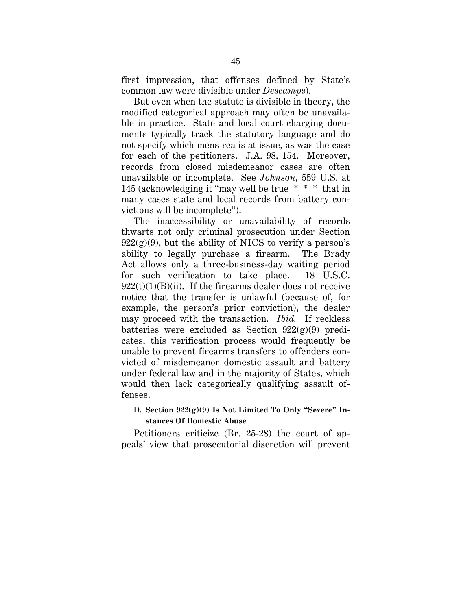first impression, that offenses defined by State's common law were divisible under *Descamps*).

But even when the statute is divisible in theory, the modified categorical approach may often be unavailable in practice. State and local court charging documents typically track the statutory language and do not specify which mens rea is at issue, as was the case for each of the petitioners. J.A. 98, 154. Moreover, records from closed misdemeanor cases are often unavailable or incomplete. See *Johnson*, 559 U.S. at 145 (acknowledging it "may well be true \* \* \* that in many cases state and local records from battery convictions will be incomplete").

The inaccessibility or unavailability of records thwarts not only criminal prosecution under Section  $922(g)(9)$ , but the ability of NICS to verify a person's ability to legally purchase a firearm. The Brady Act allows only a three-business-day waiting period for such verification to take place. 18 U.S.C.  $922(t)(1)(B)(ii)$ . If the firearms dealer does not receive notice that the transfer is unlawful (because of, for example, the person's prior conviction), the dealer may proceed with the transaction. *Ibid.* If reckless batteries were excluded as Section  $922(g)(9)$  predicates, this verification process would frequently be unable to prevent firearms transfers to offenders convicted of misdemeanor domestic assault and battery under federal law and in the majority of States, which would then lack categorically qualifying assault offenses.

## **D. Section 922(g)(9) Is Not Limited To Only "Severe" Instances Of Domestic Abuse**

Petitioners criticize (Br. 25-28) the court of appeals' view that prosecutorial discretion will prevent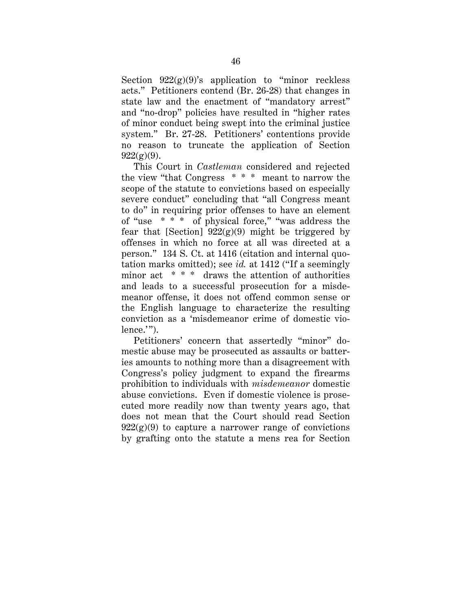Section  $922(g)(9)$ 's application to "minor reckless" acts." Petitioners contend (Br. 26-28) that changes in state law and the enactment of "mandatory arrest" and "no-drop" policies have resulted in "higher rates of minor conduct being swept into the criminal justice system." Br. 27-28. Petitioners' contentions provide no reason to truncate the application of Section  $922(g)(9)$ .

This Court in *Castleman* considered and rejected the view "that Congress \* \* \* meant to narrow the scope of the statute to convictions based on especially severe conduct" concluding that "all Congress meant to do" in requiring prior offenses to have an element of "use \* \* \* of physical force," "was address the fear that [Section]  $922(g)(9)$  might be triggered by offenses in which no force at all was directed at a person." 134 S. Ct. at 1416 (citation and internal quotation marks omitted); see *id.* at 1412 ("If a seemingly minor act  $\ast \ast \ast$  draws the attention of authorities and leads to a successful prosecution for a misdemeanor offense, it does not offend common sense or the English language to characterize the resulting conviction as a 'misdemeanor crime of domestic violence.'").

Petitioners' concern that assertedly "minor" domestic abuse may be prosecuted as assaults or batteries amounts to nothing more than a disagreement with Congress's policy judgment to expand the firearms prohibition to individuals with *misdemeanor* domestic abuse convictions. Even if domestic violence is prosecuted more readily now than twenty years ago, that does not mean that the Court should read Section  $922(g)(9)$  to capture a narrower range of convictions by grafting onto the statute a mens rea for Section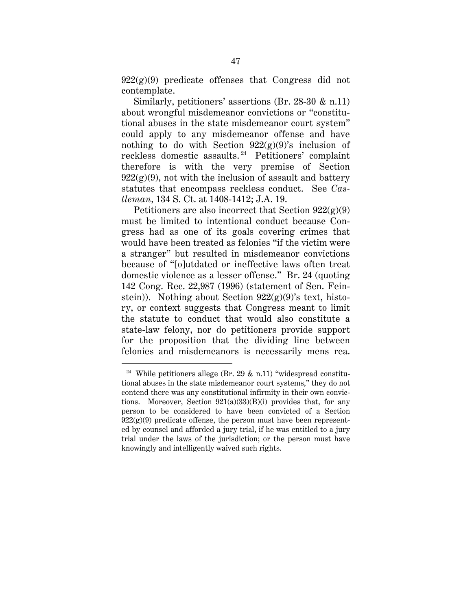$922(g)(9)$  predicate offenses that Congress did not contemplate.

Similarly, petitioners' assertions (Br. 28-30 & n.11) about wrongful misdemeanor convictions or "constitutional abuses in the state misdemeanor court system" could apply to any misdemeanor offense and have nothing to do with Section  $922(g)(9)$ 's inclusion of reckless domestic assaults. 24 Petitioners' complaint therefore is with the very premise of Section  $922(g)(9)$ , not with the inclusion of assault and battery statutes that encompass reckless conduct. See *Castleman*, 134 S. Ct. at 1408-1412; J.A. 19.

Petitioners are also incorrect that Section  $922(g)(9)$ must be limited to intentional conduct because Congress had as one of its goals covering crimes that would have been treated as felonies "if the victim were a stranger" but resulted in misdemeanor convictions because of "[o]utdated or ineffective laws often treat domestic violence as a lesser offense." Br. 24 (quoting 142 Cong. Rec. 22,987 (1996) (statement of Sen. Feinstein)). Nothing about Section  $922(g)(9)$ 's text, history, or context suggests that Congress meant to limit the statute to conduct that would also constitute a state-law felony, nor do petitioners provide support for the proposition that the dividing line between felonies and misdemeanors is necessarily mens rea.

<sup>&</sup>lt;sup>24</sup> While petitioners allege (Br. 29  $\&$  n.11) "widespread constitutional abuses in the state misdemeanor court systems," they do not contend there was any constitutional infirmity in their own convictions. Moreover, Section 921(a)(33)(B)(i) provides that, for any person to be considered to have been convicted of a Section  $922(g)(9)$  predicate offense, the person must have been represented by counsel and afforded a jury trial, if he was entitled to a jury trial under the laws of the jurisdiction; or the person must have knowingly and intelligently waived such rights.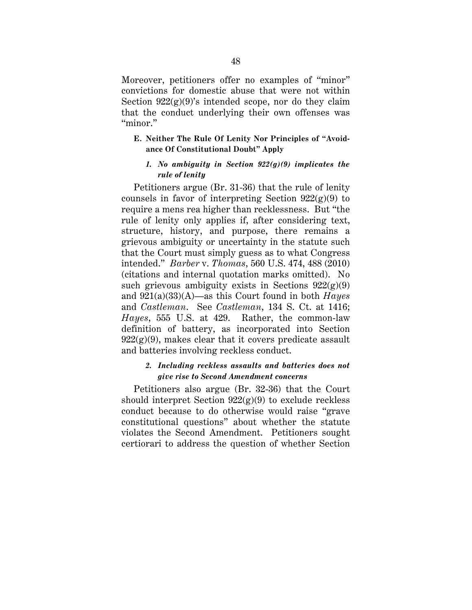Moreover, petitioners offer no examples of "minor" convictions for domestic abuse that were not within Section  $922(g)(9)$ 's intended scope, nor do they claim that the conduct underlying their own offenses was "minor."

## **E. Neither The Rule Of Lenity Nor Principles of "Avoidance Of Constitutional Doubt" Apply**

## *1. No ambiguity in Section 922(g)(9) implicates the rule of lenity*

Petitioners argue (Br. 31-36) that the rule of lenity counsels in favor of interpreting Section  $922(g)(9)$  to require a mens rea higher than recklessness. But "the rule of lenity only applies if, after considering text, structure, history, and purpose, there remains a grievous ambiguity or uncertainty in the statute such that the Court must simply guess as to what Congress intended." *Barber* v. *Thomas*, 560 U.S. 474, 488 (2010) (citations and internal quotation marks omitted). No such grievous ambiguity exists in Sections  $922(g)(9)$ and 921(a)(33)(A)—as this Court found in both *Hayes* and *Castleman*. See *Castleman*, 134 S. Ct. at 1416; *Hayes*, 555 U.S. at 429. Rather, the common-law definition of battery, as incorporated into Section  $922(g)(9)$ , makes clear that it covers predicate assault and batteries involving reckless conduct.

## *2. Including reckless assaults and batteries does not give rise to Second Amendment concerns*

Petitioners also argue (Br. 32-36) that the Court should interpret Section  $922(g)(9)$  to exclude reckless conduct because to do otherwise would raise "grave constitutional questions" about whether the statute violates the Second Amendment. Petitioners sought certiorari to address the question of whether Section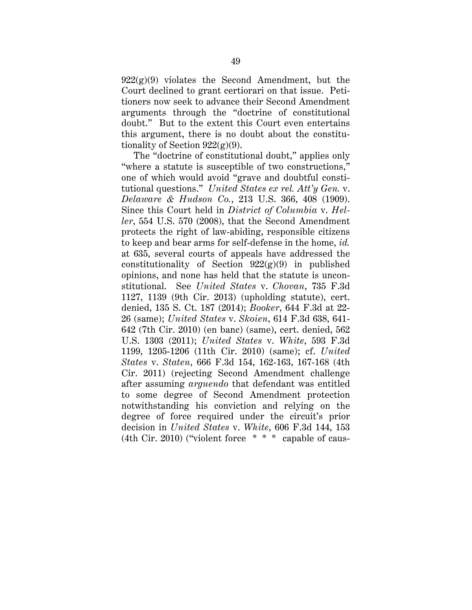$922(g)(9)$  violates the Second Amendment, but the Court declined to grant certiorari on that issue. Petitioners now seek to advance their Second Amendment arguments through the "doctrine of constitutional doubt." But to the extent this Court even entertains this argument, there is no doubt about the constitutionality of Section  $922(g)(9)$ .

The "doctrine of constitutional doubt," applies only "where a statute is susceptible of two constructions," one of which would avoid "grave and doubtful constitutional questions." *United States ex rel. Att'y Gen.* v. *Delaware & Hudson Co.*, 213 U.S. 366, 408 (1909). Since this Court held in *District of Columbia* v. *Heller*, 554 U.S. 570 (2008), that the Second Amendment protects the right of law-abiding, responsible citizens to keep and bear arms for self-defense in the home, *id.* at 635, several courts of appeals have addressed the constitutionality of Section  $922(g)(9)$  in published opinions, and none has held that the statute is unconstitutional. See *United States* v. *Chovan*, 735 F.3d 1127, 1139 (9th Cir. 2013) (upholding statute), cert. denied, 135 S. Ct. 187 (2014); *Booker*, 644 F.3d at 22- 26 (same); *United States* v. *Skoien*, 614 F.3d 638, 641- 642 (7th Cir. 2010) (en banc) (same), cert. denied, 562 U.S. 1303 (2011); *United States* v. *White*, 593 F.3d 1199, 1205-1206 (11th Cir. 2010) (same); cf. *United States* v. *Staten*, 666 F.3d 154, 162-163, 167-168 (4th Cir. 2011) (rejecting Second Amendment challenge after assuming *arguendo* that defendant was entitled to some degree of Second Amendment protection notwithstanding his conviction and relying on the degree of force required under the circuit's prior decision in *United States* v. *White*, 606 F.3d 144, 153 (4th Cir. 2010) ("violent force \* \* \* capable of caus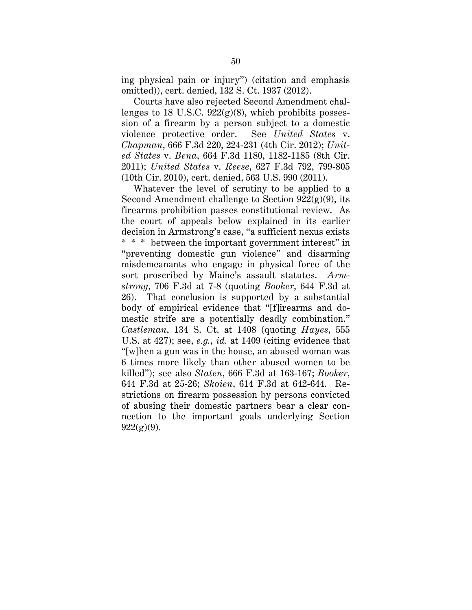ing physical pain or injury") (citation and emphasis omitted)), cert. denied, 132 S. Ct. 1937 (2012).

Courts have also rejected Second Amendment challenges to 18 U.S.C.  $922(g)(8)$ , which prohibits possession of a firearm by a person subject to a domestic violence protective order. See *United States* v. *Chapman*, 666 F.3d 220, 224-231 (4th Cir. 2012); *United States* v. *Bena*, 664 F.3d 1180, 1182-1185 (8th Cir. 2011); *United States* v. *Reese*, 627 F.3d 792, 799-805 (10th Cir. 2010), cert. denied, 563 U.S. 990 (2011).

Whatever the level of scrutiny to be applied to a Second Amendment challenge to Section  $922(g)(9)$ , its firearms prohibition passes constitutional review. As the court of appeals below explained in its earlier decision in Armstrong's case, "a sufficient nexus exists \* \* \* between the important government interest" in "preventing domestic gun violence" and disarming misdemeanants who engage in physical force of the sort proscribed by Maine's assault statutes. *Armstrong*, 706 F.3d at 7-8 (quoting *Booker*, 644 F.3d at 26). That conclusion is supported by a substantial body of empirical evidence that "[f]irearms and domestic strife are a potentially deadly combination." *Castleman*, 134 S. Ct. at 1408 (quoting *Hayes*, 555 U.S. at 427); see, *e.g.*, *id.* at 1409 (citing evidence that "[w]hen a gun was in the house, an abused woman was 6 times more likely than other abused women to be killed"); see also *Staten*, 666 F.3d at 163-167; *Booker*, 644 F.3d at 25-26; *Skoien*, 614 F.3d at 642-644. Restrictions on firearm possession by persons convicted of abusing their domestic partners bear a clear connection to the important goals underlying Section  $922(g)(9)$ .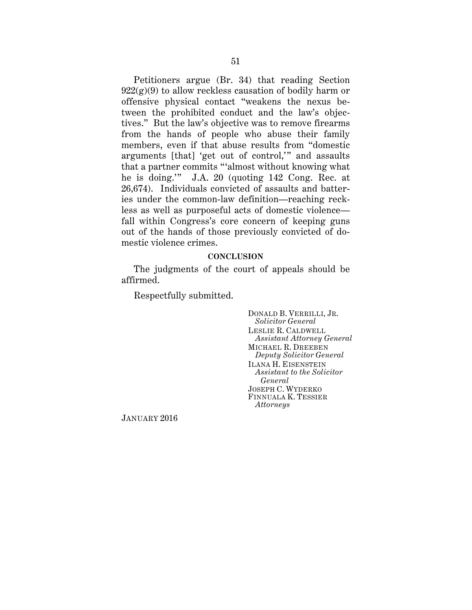Petitioners argue (Br. 34) that reading Section  $922(g)(9)$  to allow reckless causation of bodily harm or offensive physical contact "weakens the nexus between the prohibited conduct and the law's objectives." But the law's objective was to remove firearms from the hands of people who abuse their family members, even if that abuse results from "domestic arguments [that] 'get out of control,'" and assaults that a partner commits "'almost without knowing what he is doing.'" J.A. 20 (quoting 142 Cong. Rec. at 26,674). Individuals convicted of assaults and batteries under the common-law definition—reaching reckless as well as purposeful acts of domestic violence fall within Congress's core concern of keeping guns out of the hands of those previously convicted of domestic violence crimes.

#### **CONCLUSION**

The judgments of the court of appeals should be affirmed.

Respectfully submitted.

DONALD B. VERRILLI, JR. *Solicitor General* LESLIE R. CALDWELL *Assistant Attorney General* MICHAEL R. DREEBEN *Deputy Solicitor General* ILANA H. EISENSTEIN *Assistant to the Solicitor General* JOSEPH C. WYDERKO FINNUALA K. TESSIER *Attorneys*

JANUARY 2016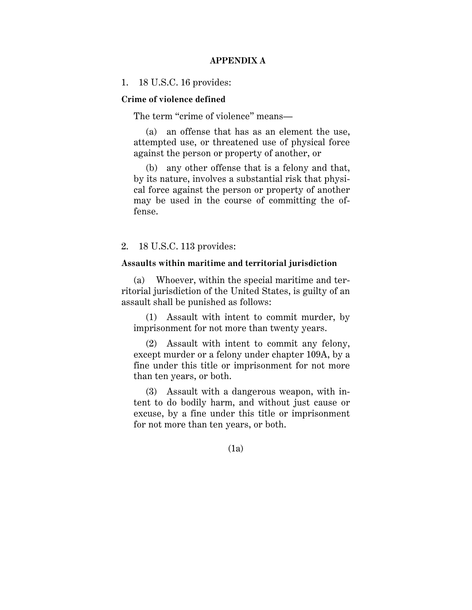## **APPENDIX A**

### 1. 18 U.S.C. 16 provides:

### **Crime of violence defined**

The term "crime of violence" means—

(a) an offense that has as an element the use, attempted use, or threatened use of physical force against the person or property of another, or

(b) any other offense that is a felony and that, by its nature, involves a substantial risk that physical force against the person or property of another may be used in the course of committing the offense.

## 2. 18 U.S.C. 113 provides:

### **Assaults within maritime and territorial jurisdiction**

(a) Whoever, within the special maritime and territorial jurisdiction of the United States, is guilty of an assault shall be punished as follows:

(1) Assault with intent to commit murder, by imprisonment for not more than twenty years.

(2) Assault with intent to commit any felony, except murder or a felony under chapter 109A, by a fine under this title or imprisonment for not more than ten years, or both.

(3) Assault with a dangerous weapon, with intent to do bodily harm, and without just cause or excuse, by a fine under this title or imprisonment for not more than ten years, or both.

(1a)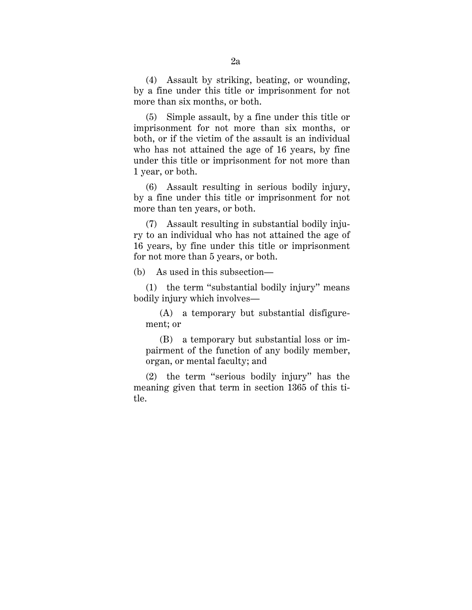(4) Assault by striking, beating, or wounding, by a fine under this title or imprisonment for not more than six months, or both.

(5) Simple assault, by a fine under this title or imprisonment for not more than six months, or both, or if the victim of the assault is an individual who has not attained the age of 16 years, by fine under this title or imprisonment for not more than 1 year, or both.

(6) Assault resulting in serious bodily injury, by a fine under this title or imprisonment for not more than ten years, or both.

(7) Assault resulting in substantial bodily injury to an individual who has not attained the age of 16 years, by fine under this title or imprisonment for not more than 5 years, or both.

(b) As used in this subsection—

(1) the term ''substantial bodily injury'' means bodily injury which involves—

(A) a temporary but substantial disfigurement; or

(B) a temporary but substantial loss or impairment of the function of any bodily member, organ, or mental faculty; and

(2) the term ''serious bodily injury'' has the meaning given that term in section 1365 of this title.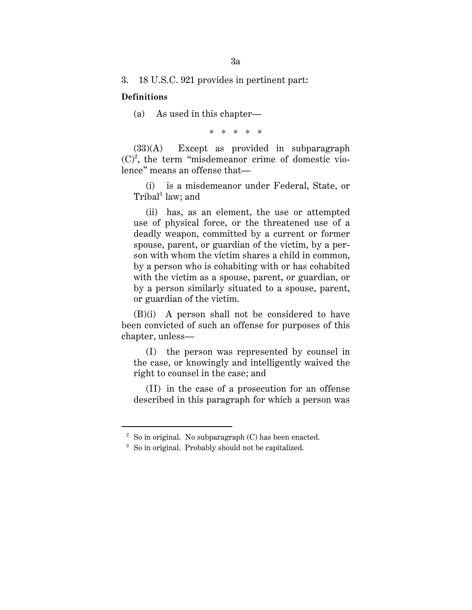3. 18 U.S.C. 921 provides in pertinent part:

### **Definitions**

 $\overline{a}$ 

(a) As used in this chapter—

\* \* \* \* \*

(33)(A) Except as provided in subparagraph  $(C)^2$ , the term "misdemeanor crime of domestic violence" means an offense that—

(i) is a misdemeanor under Federal, State, or Tribal<sup>3</sup> law; and

(ii) has, as an element, the use or attempted use of physical force, or the threatened use of a deadly weapon, committed by a current or former spouse, parent, or guardian of the victim, by a person with whom the victim shares a child in common, by a person who is cohabiting with or has cohabited with the victim as a spouse, parent, or guardian, or by a person similarly situated to a spouse, parent, or guardian of the victim.

(B)(i) A person shall not be considered to have been convicted of such an offense for purposes of this chapter, unless—

(I) the person was represented by counsel in the case, or knowingly and intelligently waived the right to counsel in the case; and

(II) in the case of a prosecution for an offense described in this paragraph for which a person was

 $2^2$  So in original. No subparagraph (C) has been enacted.

<sup>&</sup>lt;sup>3</sup> So in original. Probably should not be capitalized.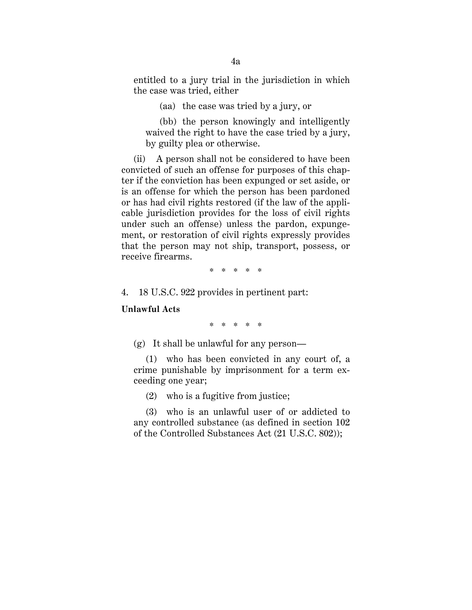entitled to a jury trial in the jurisdiction in which the case was tried, either

(aa) the case was tried by a jury, or

(bb) the person knowingly and intelligently waived the right to have the case tried by a jury, by guilty plea or otherwise.

(ii) A person shall not be considered to have been convicted of such an offense for purposes of this chapter if the conviction has been expunged or set aside, or is an offense for which the person has been pardoned or has had civil rights restored (if the law of the applicable jurisdiction provides for the loss of civil rights under such an offense) unless the pardon, expungement, or restoration of civil rights expressly provides that the person may not ship, transport, possess, or receive firearms.

\* \* \* \* \*

4. 18 U.S.C. 922 provides in pertinent part:

**Unlawful Acts**

\* \* \* \* \*

(g) It shall be unlawful for any person—

(1) who has been convicted in any court of, a crime punishable by imprisonment for a term exceeding one year;

(2) who is a fugitive from justice;

(3) who is an unlawful user of or addicted to any controlled substance (as defined in section 102 of the Controlled Substances Act (21 U.S.C. 802));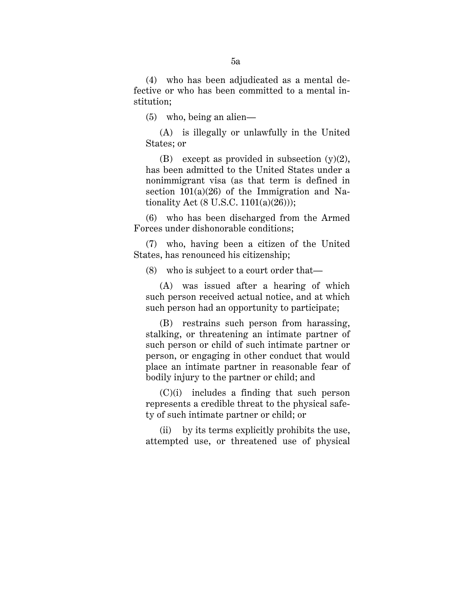(4) who has been adjudicated as a mental defective or who has been committed to a mental institution;

(5) who, being an alien—

(A) is illegally or unlawfully in the United States; or

(B) except as provided in subsection  $(v)(2)$ , has been admitted to the United States under a nonimmigrant visa (as that term is defined in section  $101(a)(26)$  of the Immigration and Nationality Act  $(8 \text{ U.S.C. } 1101(a)(26))$ ;

(6) who has been discharged from the Armed Forces under dishonorable conditions;

(7) who, having been a citizen of the United States, has renounced his citizenship;

(8) who is subject to a court order that—

(A) was issued after a hearing of which such person received actual notice, and at which such person had an opportunity to participate;

(B) restrains such person from harassing, stalking, or threatening an intimate partner of such person or child of such intimate partner or person, or engaging in other conduct that would place an intimate partner in reasonable fear of bodily injury to the partner or child; and

(C)(i) includes a finding that such person represents a credible threat to the physical safety of such intimate partner or child; or

(ii) by its terms explicitly prohibits the use, attempted use, or threatened use of physical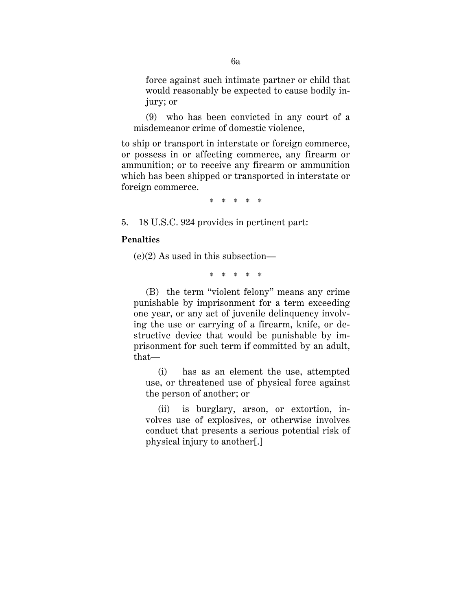force against such intimate partner or child that would reasonably be expected to cause bodily injury; or

(9) who has been convicted in any court of a misdemeanor crime of domestic violence,

to ship or transport in interstate or foreign commerce, or possess in or affecting commerce, any firearm or ammunition; or to receive any firearm or ammunition which has been shipped or transported in interstate or foreign commerce.

\* \* \* \* \*

5. 18 U.S.C. 924 provides in pertinent part:

### **Penalties**

 $(e)(2)$  As used in this subsection—

\* \* \* \* \*

(B) the term "violent felony" means any crime punishable by imprisonment for a term exceeding one year, or any act of juvenile delinquency involving the use or carrying of a firearm, knife, or destructive device that would be punishable by imprisonment for such term if committed by an adult, that—

(i) has as an element the use, attempted use, or threatened use of physical force against the person of another; or

(ii) is burglary, arson, or extortion, involves use of explosives, or otherwise involves conduct that presents a serious potential risk of physical injury to another[.]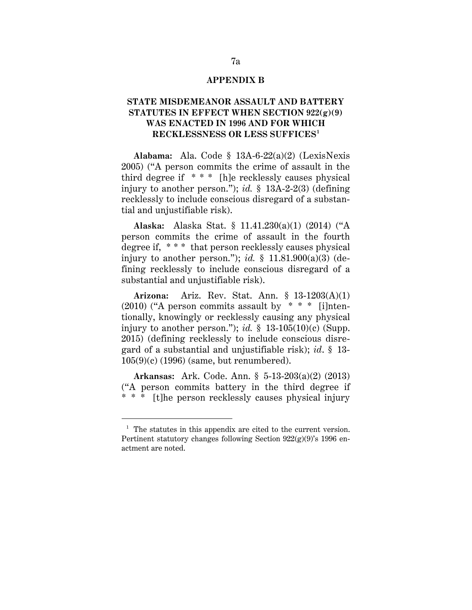### **APPENDIX B**

# **STATE MISDEMEANOR ASSAULT AND BATTERY STATUTES IN EFFECT WHEN SECTION 922(g)(9) WAS ENACTED IN 1996 AND FOR WHICH RECKLESSNESS OR LESS SUFFICES1**

**Alabama:** Ala. Code § 13A-6-22(a)(2) (LexisNexis 2005) ("A person commits the crime of assault in the third degree if \* \* \* [h]e recklessly causes physical injury to another person."); *id.* § 13A-2-2(3) (defining recklessly to include conscious disregard of a substantial and unjustifiable risk).

**Alaska:** Alaska Stat. § 11.41.230(a)(1) (2014) ("A person commits the crime of assault in the fourth degree if, \* \* \* that person recklessly causes physical injury to another person."); *id.* § 11.81.900(a)(3) (defining recklessly to include conscious disregard of a substantial and unjustifiable risk).

**Arizona:** Ariz. Rev. Stat. Ann. § 13-1203(A)(1)  $(2010)$  ("A person commits assault by  $* * *$  [i]ntentionally, knowingly or recklessly causing any physical injury to another person."); *id.*  $\S$  13-105(10)(c) (Supp. 2015) (defining recklessly to include conscious disregard of a substantial and unjustifiable risk); *id*. § 13- 105(9)(c) (1996) (same, but renumbered).

**Arkansas:** Ark. Code. Ann. § 5-13-203(a)(2) (2013) ("A person commits battery in the third degree if \* \* \* [t]he person recklessly causes physical injury

 <sup>1</sup> The statutes in this appendix are cited to the current version. Pertinent statutory changes following Section  $922(g)(9)$ 's 1996 enactment are noted.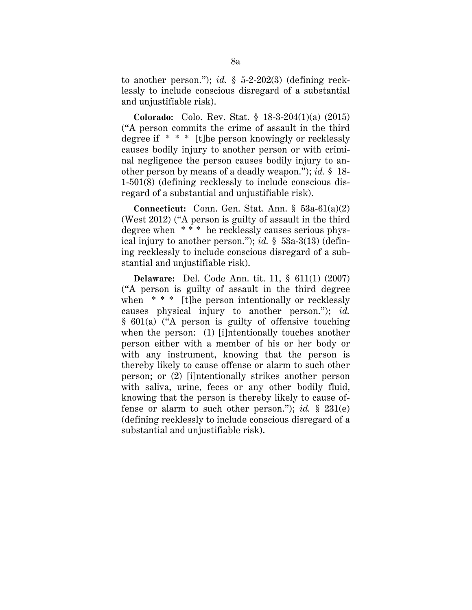to another person."); *id.* § 5-2-202(3) (defining recklessly to include conscious disregard of a substantial and unjustifiable risk).

**Colorado:** Colo. Rev. Stat. § 18-3-204(1)(a) (2015) ("A person commits the crime of assault in the third degree if \* \* \* [t]he person knowingly or recklessly causes bodily injury to another person or with criminal negligence the person causes bodily injury to another person by means of a deadly weapon."); *id.* § 18- 1-501(8) (defining recklessly to include conscious disregard of a substantial and unjustifiable risk).

**Connecticut:** Conn. Gen. Stat. Ann. § 53a-61(a)(2) (West 2012) ("A person is guilty of assault in the third degree when \* \* \* he recklessly causes serious physical injury to another person."); *id.* § 53a-3(13) (defining recklessly to include conscious disregard of a substantial and unjustifiable risk).

**Delaware:** Del. Code Ann. tit. 11, § 611(1) (2007) ("A person is guilty of assault in the third degree when \* \* \* [t]he person intentionally or recklessly causes physical injury to another person."); *id.* § 601(a) ("A person is guilty of offensive touching when the person: (1) [i]ntentionally touches another person either with a member of his or her body or with any instrument, knowing that the person is thereby likely to cause offense or alarm to such other person; or (2) [i]ntentionally strikes another person with saliva, urine, feces or any other bodily fluid, knowing that the person is thereby likely to cause offense or alarm to such other person."); *id.* § 231(e) (defining recklessly to include conscious disregard of a substantial and unjustifiable risk).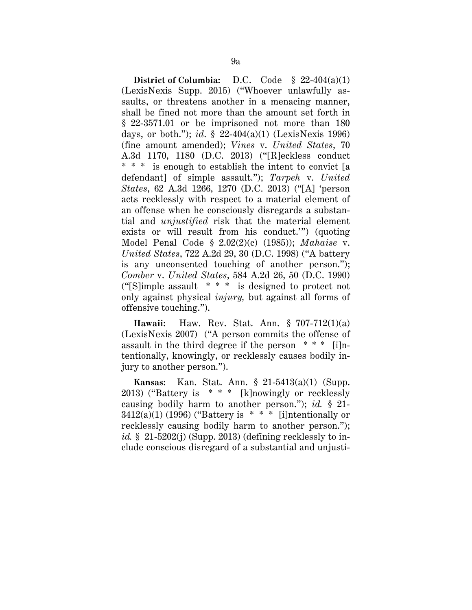**District of Columbia:** D.C. Code § 22-404(a)(1) (LexisNexis Supp. 2015) ("Whoever unlawfully assaults, or threatens another in a menacing manner, shall be fined not more than the amount set forth in § 22-3571.01 or be imprisoned not more than 180 days, or both."); *id*. § 22-404(a)(1) (LexisNexis 1996) (fine amount amended); *Vines* v. *United States*, 70 A.3d 1170, 1180 (D.C. 2013) ("[R]eckless conduct \* \* \* is enough to establish the intent to convict [a defendant] of simple assault."); *Tarpeh* v. *United States*, 62 A.3d 1266, 1270 (D.C. 2013) ("[A] 'person acts recklessly with respect to a material element of an offense when he consciously disregards a substantial and *unjustified* risk that the material element exists or will result from his conduct.'") (quoting Model Penal Code § 2.02(2)(c) (1985)); *Mahaise* v. *United States*, 722 A.2d 29, 30 (D.C. 1998) ("A battery is any unconsented touching of another person."); *Comber* v. *United States*, 584 A.2d 26, 50 (D.C. 1990) ("[S]imple assault \* \* \* is designed to protect not only against physical *injury,* but against all forms of offensive touching.").

**Hawaii:** Haw. Rev. Stat. Ann. § 707-712(1)(a) (LexisNexis 2007) ("A person commits the offense of assault in the third degree if the person \* \* \* [i]ntentionally, knowingly, or recklessly causes bodily injury to another person.").

**Kansas:** Kan. Stat. Ann. § 21-5413(a)(1) (Supp. 2013) ("Battery is \* \* \* [k]nowingly or recklessly causing bodily harm to another person."); *id.* § 21-  $3412(a)(1)$  (1996) ("Battery is \* \* \* [i]ntentionally or recklessly causing bodily harm to another person."); *id.* § 21-5202(j) (Supp. 2013) (defining recklessly to include conscious disregard of a substantial and unjusti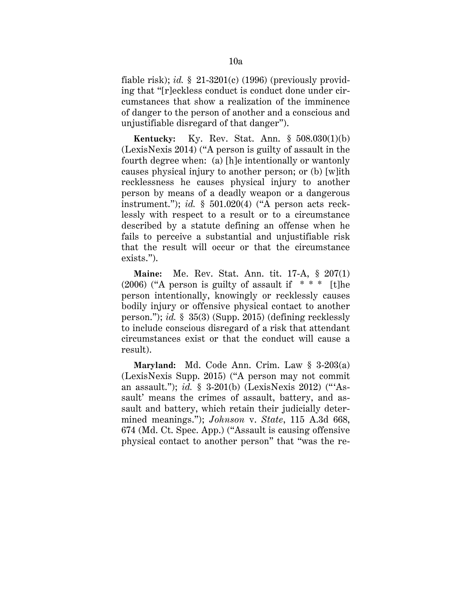fiable risk); *id.* § 21-3201(c) (1996) (previously providing that "[r]eckless conduct is conduct done under circumstances that show a realization of the imminence of danger to the person of another and a conscious and unjustifiable disregard of that danger").

**Kentucky:** Ky. Rev. Stat. Ann. § 508.030(1)(b) (LexisNexis 2014) ("A person is guilty of assault in the fourth degree when: (a) [h]e intentionally or wantonly causes physical injury to another person; or (b) [w]ith recklessness he causes physical injury to another person by means of a deadly weapon or a dangerous instrument."); *id.* § 501.020(4) ("A person acts recklessly with respect to a result or to a circumstance described by a statute defining an offense when he fails to perceive a substantial and unjustifiable risk that the result will occur or that the circumstance exists.").

**Maine:** Me. Rev. Stat. Ann. tit. 17-A, § 207(1)  $(2006)$  ("A person is guilty of assault if \*\*\* [t]he person intentionally, knowingly or recklessly causes bodily injury or offensive physical contact to another person."); *id.* § 35(3) (Supp. 2015) (defining recklessly to include conscious disregard of a risk that attendant circumstances exist or that the conduct will cause a result).

**Maryland:** Md. Code Ann. Crim. Law § 3-203(a) (LexisNexis Supp. 2015) ("A person may not commit an assault."); *id.* § 3-201(b) (LexisNexis 2012) ("'Assault' means the crimes of assault, battery, and assault and battery, which retain their judicially determined meanings."); *Johnson* v. *State*, 115 A.3d 668, 674 (Md. Ct. Spec. App.) ("Assault is causing offensive physical contact to another person" that "was the re-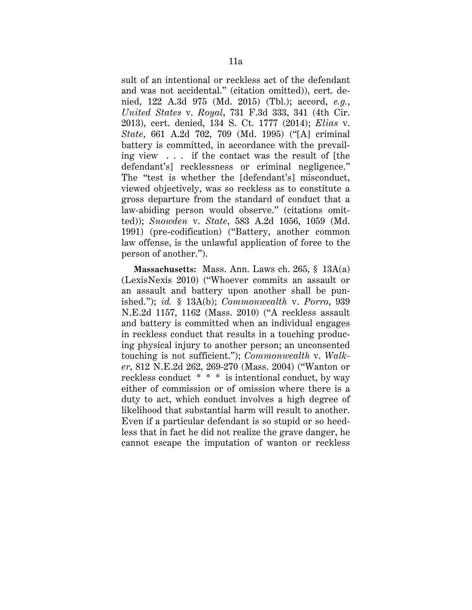sult of an intentional or reckless act of the defendant and was not accidental." (citation omitted)), cert. denied, 122 A.3d 975 (Md. 2015) (Tbl.); accord, *e.g.*, *United States* v. *Royal*, 731 F.3d 333, 341 (4th Cir. 2013), cert. denied, 134 S. Ct. 1777 (2014); *Elias* v. *State*, 661 A.2d 702, 709 (Md. 1995) ("[A] criminal battery is committed, in accordance with the prevailing view . . . if the contact was the result of [the defendant's] recklessness or criminal negligence." The "test is whether the [defendant's] misconduct, viewed objectively, was so reckless as to constitute a gross departure from the standard of conduct that a law-abiding person would observe." (citations omitted)); *Snowden* v. *State*, 583 A.2d 1056, 1059 (Md. 1991) (pre-codification) ("Battery, another common law offense, is the unlawful application of force to the person of another.").

**Massachusetts:** Mass. Ann. Laws ch. 265, § 13A(a) (LexisNexis 2010) ("Whoever commits an assault or an assault and battery upon another shall be punished."); *id.* § 13A(b); *Commonwealth* v. *Porro*, 939 N.E.2d 1157, 1162 (Mass. 2010) ("A reckless assault and battery is committed when an individual engages in reckless conduct that results in a touching producing physical injury to another person; an unconsented touching is not sufficient."); *Commonwealth* v. *Walker*, 812 N.E.2d 262, 269-270 (Mass. 2004) ("Wanton or reckless conduct \* \* \* is intentional conduct, by way either of commission or of omission where there is a duty to act, which conduct involves a high degree of likelihood that substantial harm will result to another. Even if a particular defendant is so stupid or so heedless that in fact he did not realize the grave danger, he cannot escape the imputation of wanton or reckless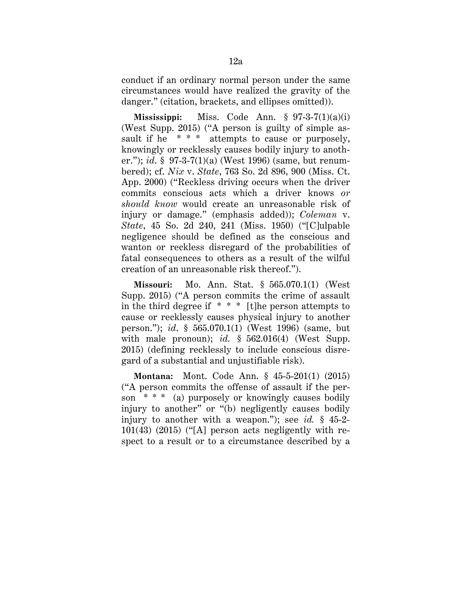conduct if an ordinary normal person under the same circumstances would have realized the gravity of the danger." (citation, brackets, and ellipses omitted)).

**Mississippi:** Miss. Code Ann. § 97-3-7(1)(a)(i) (West Supp. 2015) ("A person is guilty of simple assault if he  $* * *$  attempts to cause or purposely, knowingly or recklessly causes bodily injury to another."); *id*. § 97-3-7(1)(a) (West 1996) (same, but renumbered); cf. *Nix* v. *State*, 763 So. 2d 896, 900 (Miss. Ct. App. 2000) ("Reckless driving occurs when the driver commits conscious acts which a driver knows *or should know* would create an unreasonable risk of injury or damage." (emphasis added)); *Coleman* v. *State*, 45 So. 2d 240, 241 (Miss. 1950) ("[C]ulpable negligence should be defined as the conscious and wanton or reckless disregard of the probabilities of fatal consequences to others as a result of the wilful creation of an unreasonable risk thereof.").

**Missouri:** Mo. Ann. Stat. § 565.070.1(1) (West Supp. 2015) ("A person commits the crime of assault in the third degree if  $* * *$  [t]he person attempts to cause or recklessly causes physical injury to another person."); *id*. § 565.070.1(1) (West 1996) (same, but with male pronoun); *id.* § 562.016(4) (West Supp. 2015) (defining recklessly to include conscious disregard of a substantial and unjustifiable risk).

**Montana:** Mont. Code Ann. § 45-5-201(1) (2015) ("A person commits the offense of assault if the person \* \* \* (a) purposely or knowingly causes bodily injury to another" or "(b) negligently causes bodily injury to another with a weapon."); see *id.* § 45-2- 101(43) (2015) ("[A] person acts negligently with respect to a result or to a circumstance described by a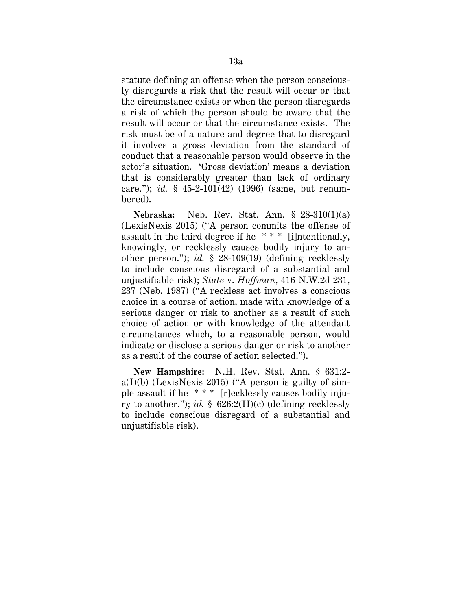statute defining an offense when the person consciously disregards a risk that the result will occur or that the circumstance exists or when the person disregards a risk of which the person should be aware that the result will occur or that the circumstance exists. The risk must be of a nature and degree that to disregard it involves a gross deviation from the standard of conduct that a reasonable person would observe in the actor's situation. 'Gross deviation' means a deviation that is considerably greater than lack of ordinary care."); *id.* § 45-2-101(42) (1996) (same, but renumbered).

**Nebraska:** Neb. Rev. Stat. Ann. § 28-310(1)(a) (LexisNexis 2015) ("A person commits the offense of assault in the third degree if he \* \* \* [i]ntentionally, knowingly, or recklessly causes bodily injury to another person."); *id.* § 28-109(19) (defining recklessly to include conscious disregard of a substantial and unjustifiable risk); *State* v. *Hoffman*, 416 N.W.2d 231, 237 (Neb. 1987) ("A reckless act involves a conscious choice in a course of action, made with knowledge of a serious danger or risk to another as a result of such choice of action or with knowledge of the attendant circumstances which, to a reasonable person, would indicate or disclose a serious danger or risk to another as a result of the course of action selected.").

**New Hampshire:** N.H. Rev. Stat. Ann. § 631:2  $a(I)(b)$  (LexisNexis 2015) ("A person is guilty of simple assault if he \* \* \* [r]ecklessly causes bodily injury to another."); *id.* § 626:2(II)(c) (defining recklessly to include conscious disregard of a substantial and unjustifiable risk).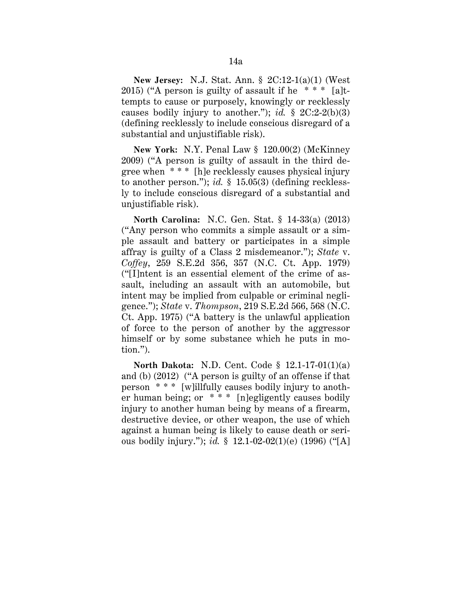**New Jersey:** N.J. Stat. Ann. § 2C:12-1(a)(1) (West 2015) ("A person is guilty of assault if he  $***$  [a]ttempts to cause or purposely, knowingly or recklessly causes bodily injury to another."); *id.*  $\S$  2C:2-2(b)(3) (defining recklessly to include conscious disregard of a substantial and unjustifiable risk).

**New York:** N.Y. Penal Law § 120.00(2) (McKinney 2009) ("A person is guilty of assault in the third degree when \* \* \* [h]e recklessly causes physical injury to another person."); *id.* § 15.05(3) (defining recklessly to include conscious disregard of a substantial and unjustifiable risk).

**North Carolina:** N.C. Gen. Stat. § 14-33(a) (2013) ("Any person who commits a simple assault or a simple assault and battery or participates in a simple affray is guilty of a Class 2 misdemeanor."); *State* v. *Coffey*, 259 S.E.2d 356, 357 (N.C. Ct. App. 1979) ("[I]ntent is an essential element of the crime of assault, including an assault with an automobile, but intent may be implied from culpable or criminal negligence."); *State* v. *Thompson*, 219 S.E.2d 566, 568 (N.C. Ct. App. 1975) ("A battery is the unlawful application of force to the person of another by the aggressor himself or by some substance which he puts in motion.").

**North Dakota:** N.D. Cent. Code § 12.1-17-01(1)(a) and (b) (2012) ("A person is guilty of an offense if that person \* \* \* [w]illfully causes bodily injury to another human being; or \* \* \* [n]egligently causes bodily injury to another human being by means of a firearm, destructive device, or other weapon, the use of which against a human being is likely to cause death or serious bodily injury."); *id.* § 12.1-02-02(1)(e) (1996) ("[A]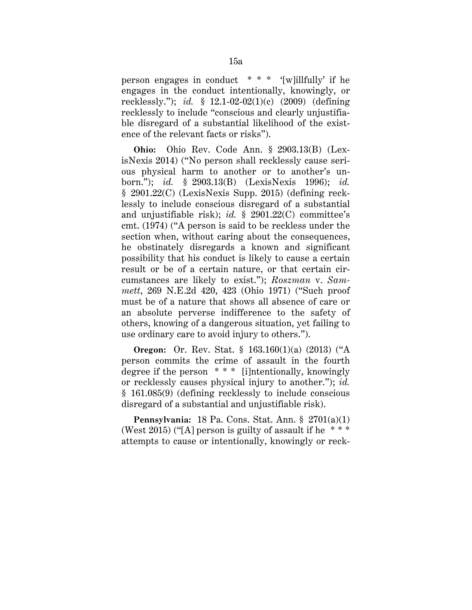person engages in conduct \* \* \* '[w]illfully' if he engages in the conduct intentionally, knowingly, or recklessly."); *id.* § 12.1-02-02(1)(c) (2009) (defining recklessly to include "conscious and clearly unjustifiable disregard of a substantial likelihood of the existence of the relevant facts or risks").

**Ohio:** Ohio Rev. Code Ann. § 2903.13(B) (LexisNexis 2014) ("No person shall recklessly cause serious physical harm to another or to another's unborn."); *id.* § 2903.13(B) (LexisNexis 1996); *id.* § 2901.22(C) (LexisNexis Supp. 2015) (defining recklessly to include conscious disregard of a substantial and unjustifiable risk); *id.* § 2901.22(C) committee's cmt. (1974) ("A person is said to be reckless under the section when, without caring about the consequences, he obstinately disregards a known and significant possibility that his conduct is likely to cause a certain result or be of a certain nature, or that certain circumstances are likely to exist."); *Roszman* v. *Sammett*, 269 N.E.2d 420, 423 (Ohio 1971) ("Such proof must be of a nature that shows all absence of care or an absolute perverse indifference to the safety of others, knowing of a dangerous situation, yet failing to use ordinary care to avoid injury to others.").

**Oregon:** Or. Rev. Stat. § 163.160(1)(a) (2013) ("A person commits the crime of assault in the fourth degree if the person \* \* \* [i]ntentionally, knowingly or recklessly causes physical injury to another."); *id.* § 161.085(9) (defining recklessly to include conscious disregard of a substantial and unjustifiable risk).

**Pennsylvania:** 18 Pa. Cons. Stat. Ann. § 2701(a)(1) (West 2015) ("[A] person is guilty of assault if he  $***$ attempts to cause or intentionally, knowingly or reck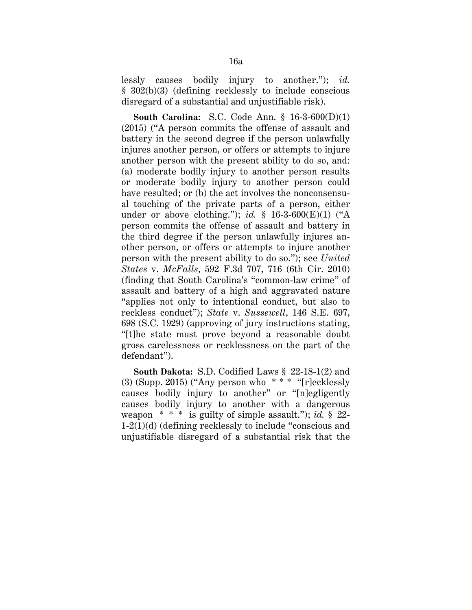lessly causes bodily injury to another."); *id.* § 302(b)(3) (defining recklessly to include conscious disregard of a substantial and unjustifiable risk).

**South Carolina:** S.C. Code Ann. § 16-3-600(D)(1) (2015) ("A person commits the offense of assault and battery in the second degree if the person unlawfully injures another person, or offers or attempts to injure another person with the present ability to do so, and: (a) moderate bodily injury to another person results or moderate bodily injury to another person could have resulted; or (b) the act involves the nonconsensual touching of the private parts of a person, either under or above clothing."); *id.*  $\S$  16-3-600(E)(1) ("A person commits the offense of assault and battery in the third degree if the person unlawfully injures another person, or offers or attempts to injure another person with the present ability to do so."); see *United States* v. *McFalls*, 592 F.3d 707, 716 (6th Cir. 2010) (finding that South Carolina's "common-law crime" of assault and battery of a high and aggravated nature "applies not only to intentional conduct, but also to reckless conduct"); *State* v. *Sussewell*, 146 S.E. 697, 698 (S.C. 1929) (approving of jury instructions stating, "[t]he state must prove beyond a reasonable doubt gross carelessness or recklessness on the part of the defendant").

**South Dakota:** S.D. Codified Laws § 22-18-1(2) and (3) (Supp. 2015) ("Any person who  $**$ " "[r]ecklessly causes bodily injury to another" or "[n]egligently causes bodily injury to another with a dangerous weapon \* \* \* is guilty of simple assault."); *id.* § 22- 1-2(1)(d) (defining recklessly to include "conscious and unjustifiable disregard of a substantial risk that the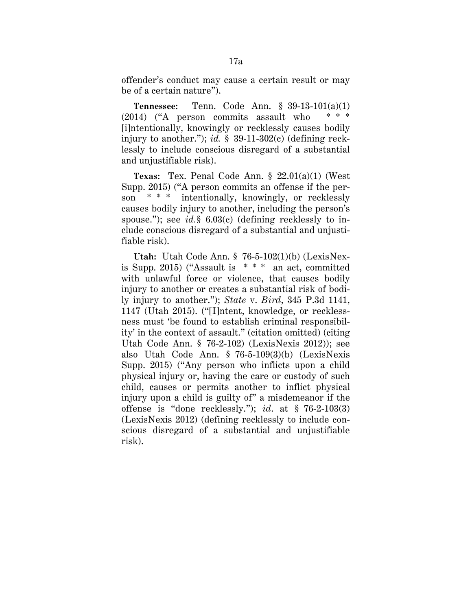offender's conduct may cause a certain result or may be of a certain nature").

**Tennessee:** Tenn. Code Ann. § 39-13-101(a)(1) (2014) ("A person commits assault who \* \* \* [i]ntentionally, knowingly or recklessly causes bodily injury to another."); *id.* § 39-11-302(c) (defining recklessly to include conscious disregard of a substantial and unjustifiable risk).

**Texas:** Tex. Penal Code Ann. § 22.01(a)(1) (West Supp. 2015) ("A person commits an offense if the person \* \* \* intentionally, knowingly, or recklessly causes bodily injury to another, including the person's spouse."); see *id.*§ 6.03(c) (defining recklessly to include conscious disregard of a substantial and unjustifiable risk).

**Utah:** Utah Code Ann. § 76-5-102(1)(b) (LexisNexis Supp. 2015) ("Assault is  $***$  an act, committed with unlawful force or violence, that causes bodily injury to another or creates a substantial risk of bodily injury to another."); *State* v. *Bird*, 345 P.3d 1141, 1147 (Utah 2015). ("[I]ntent, knowledge, or recklessness must 'be found to establish criminal responsibility' in the context of assault." (citation omitted) (citing Utah Code Ann. § 76-2-102) (LexisNexis 2012)); see also Utah Code Ann. § 76-5-109(3)(b) (LexisNexis Supp. 2015) ("Any person who inflicts upon a child physical injury or, having the care or custody of such child, causes or permits another to inflict physical injury upon a child is guilty of" a misdemeanor if the offense is "done recklessly."); *id*. at § 76-2-103(3) (LexisNexis 2012) (defining recklessly to include conscious disregard of a substantial and unjustifiable risk).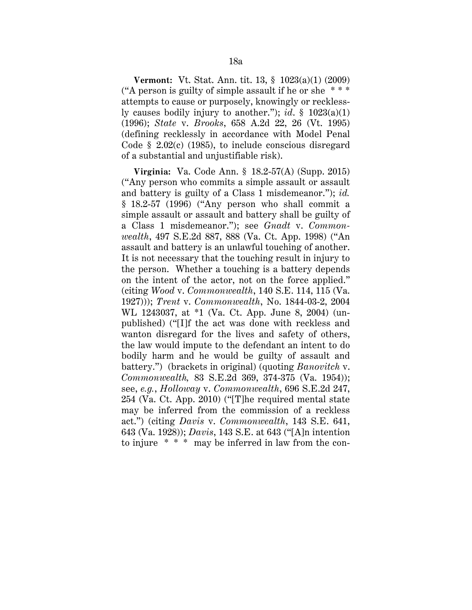**Vermont:** Vt. Stat. Ann. tit. 13, § 1023(a)(1) (2009) ("A person is guilty of simple assault if he or she  $***$ attempts to cause or purposely, knowingly or recklessly causes bodily injury to another."); *id*. § 1023(a)(1) (1996); *State* v. *Brooks*, 658 A.2d 22, 26 (Vt. 1995) (defining recklessly in accordance with Model Penal Code § 2.02(c) (1985), to include conscious disregard of a substantial and unjustifiable risk).

**Virginia:** Va. Code Ann. § 18.2-57(A) (Supp. 2015) ("Any person who commits a simple assault or assault and battery is guilty of a Class 1 misdemeanor."); *id.* § 18.2-57 (1996) ("Any person who shall commit a simple assault or assault and battery shall be guilty of a Class 1 misdemeanor."); see *Gnadt* v. *Commonwealth*, 497 S.E.2d 887, 888 (Va. Ct. App. 1998) ("An assault and battery is an unlawful touching of another. It is not necessary that the touching result in injury to the person. Whether a touching is a battery depends on the intent of the actor, not on the force applied." (citing *Wood* v. *Commonwealth*, 140 S.E. 114, 115 (Va. 1927))); *Trent* v. *Commonwealth*, No. 1844-03-2, 2004 WL 1243037, at \*1 (Va. Ct. App. June 8, 2004) (unpublished) ("[I]f the act was done with reckless and wanton disregard for the lives and safety of others, the law would impute to the defendant an intent to do bodily harm and he would be guilty of assault and battery.") (brackets in original) (quoting *Banovitch* v. *Commonwealth,* 83 S.E.2d 369, 374-375 (Va. 1954)); see, *e.g.*, *Holloway* v. *Commonwealth*, 696 S.E.2d 247, 254 (Va. Ct. App. 2010) ("[T]he required mental state may be inferred from the commission of a reckless act.") (citing *Davis* v. *Commonwealth*, 143 S.E. 641, 643 (Va. 1928)); *Davis*, 143 S.E. at 643 ("[A]n intention to injure \* \* \* may be inferred in law from the con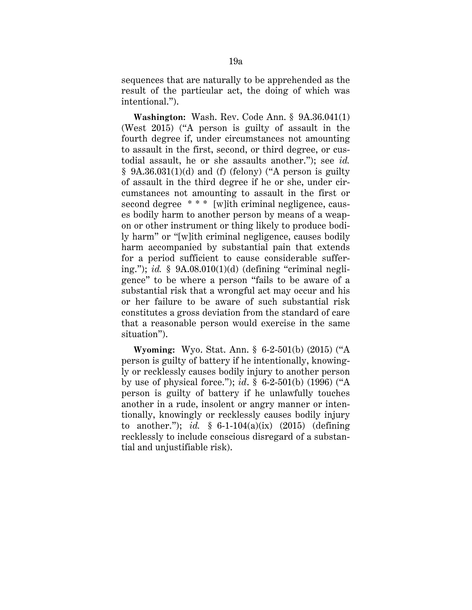sequences that are naturally to be apprehended as the result of the particular act, the doing of which was intentional.").

**Washington:** Wash. Rev. Code Ann. § 9A.36.041(1) (West 2015) ("A person is guilty of assault in the fourth degree if, under circumstances not amounting to assault in the first, second, or third degree, or custodial assault, he or she assaults another."); see *id.*  $§$  9A.36.031(1)(d) and (f) (felony) ("A person is guilty of assault in the third degree if he or she, under circumstances not amounting to assault in the first or second degree \*\*\* [w]ith criminal negligence, causes bodily harm to another person by means of a weapon or other instrument or thing likely to produce bodily harm" or "[w]ith criminal negligence, causes bodily harm accompanied by substantial pain that extends for a period sufficient to cause considerable suffering."); *id.* § 9A.08.010(1)(d) (defining "criminal negligence" to be where a person "fails to be aware of a substantial risk that a wrongful act may occur and his or her failure to be aware of such substantial risk constitutes a gross deviation from the standard of care that a reasonable person would exercise in the same situation").

**Wyoming:** Wyo. Stat. Ann. § 6-2-501(b) (2015) ("A person is guilty of battery if he intentionally, knowingly or recklessly causes bodily injury to another person by use of physical force."); *id*. § 6-2-501(b) (1996) ("A person is guilty of battery if he unlawfully touches another in a rude, insolent or angry manner or intentionally, knowingly or recklessly causes bodily injury to another."); *id.* § 6-1-104(a)(ix) (2015) (defining recklessly to include conscious disregard of a substantial and unjustifiable risk).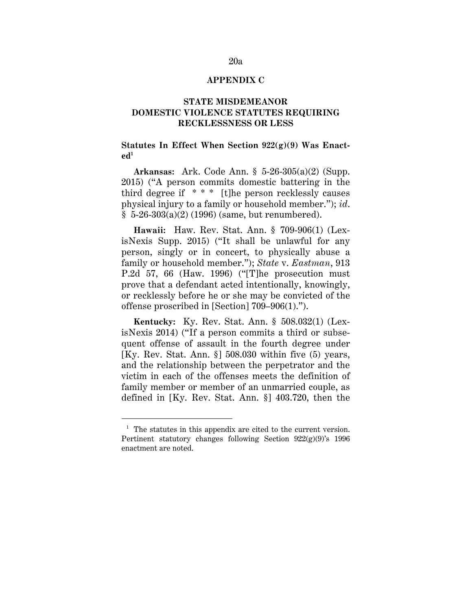## **APPENDIX C**

## **STATE MISDEMEANOR DOMESTIC VIOLENCE STATUTES REQUIRING RECKLESSNESS OR LESS**

## **Statutes In Effect When Section 922(g)(9) Was Enact** $ed<sup>1</sup>$

**Arkansas:** Ark. Code Ann. § 5-26-305(a)(2) (Supp. 2015) ("A person commits domestic battering in the third degree if  $***$  [t]he person recklessly causes physical injury to a family or household member."); *id*.  $§ 5-26-303(a)(2) (1996)$  (same, but renumbered).

**Hawaii:** Haw. Rev. Stat. Ann. § 709-906(1) (LexisNexis Supp. 2015) ("It shall be unlawful for any person, singly or in concert, to physically abuse a family or household member."); *State* v. *Eastman*, 913 P.2d 57, 66 (Haw. 1996) ("[T]he prosecution must prove that a defendant acted intentionally, knowingly, or recklessly before he or she may be convicted of the offense proscribed in [Section] 709–906(1).").

**Kentucky:** Ky. Rev. Stat. Ann. § 508.032(1) (LexisNexis 2014) ("If a person commits a third or subsequent offense of assault in the fourth degree under [Ky. Rev. Stat. Ann. §] 508.030 within five (5) years, and the relationship between the perpetrator and the victim in each of the offenses meets the definition of family member or member of an unmarried couple, as defined in [Ky. Rev. Stat. Ann. §] 403.720, then the

 $\overline{a}$ 

<sup>&</sup>lt;sup>1</sup> The statutes in this appendix are cited to the current version. Pertinent statutory changes following Section  $922(g)(9)$ 's 1996 enactment are noted.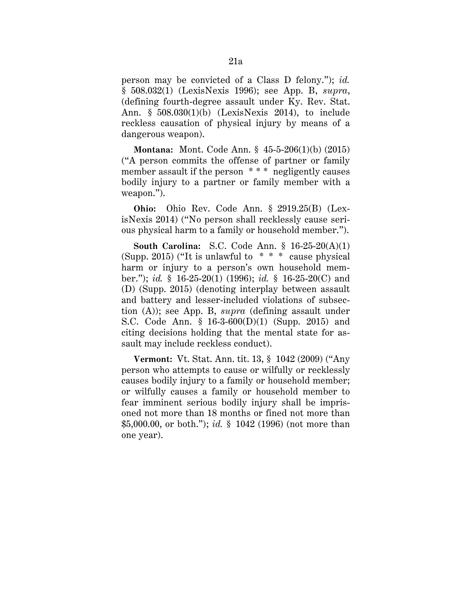person may be convicted of a Class D felony."); *id.* § 508.032(1) (LexisNexis 1996); see App. B, *supra*, (defining fourth-degree assault under Ky. Rev. Stat. Ann. § 508.030(1)(b) (LexisNexis 2014), to include reckless causation of physical injury by means of a dangerous weapon).

**Montana:** Mont. Code Ann. § 45-5-206(1)(b) (2015) ("A person commits the offense of partner or family member assault if the person \*\*\*\* negligently causes bodily injury to a partner or family member with a weapon.").

**Ohio:** Ohio Rev. Code Ann. § 2919.25(B) (LexisNexis 2014) ("No person shall recklessly cause serious physical harm to a family or household member.").

**South Carolina:** S.C. Code Ann. § 16-25-20(A)(1) (Supp. 2015) ("It is unlawful to \* \* \* cause physical harm or injury to a person's own household member."); *id.* § 16-25-20(1) (1996); *id.* § 16-25-20(C) and (D) (Supp. 2015) (denoting interplay between assault and battery and lesser-included violations of subsection (A)); see App. B, *supra* (defining assault under S.C. Code Ann. § 16-3-600(D)(1) (Supp. 2015) and citing decisions holding that the mental state for assault may include reckless conduct).

**Vermont:** Vt. Stat. Ann. tit. 13, § 1042 (2009) ("Any person who attempts to cause or wilfully or recklessly causes bodily injury to a family or household member; or wilfully causes a family or household member to fear imminent serious bodily injury shall be imprisoned not more than 18 months or fined not more than \$5,000.00, or both."); *id.* § 1042 (1996) (not more than one year).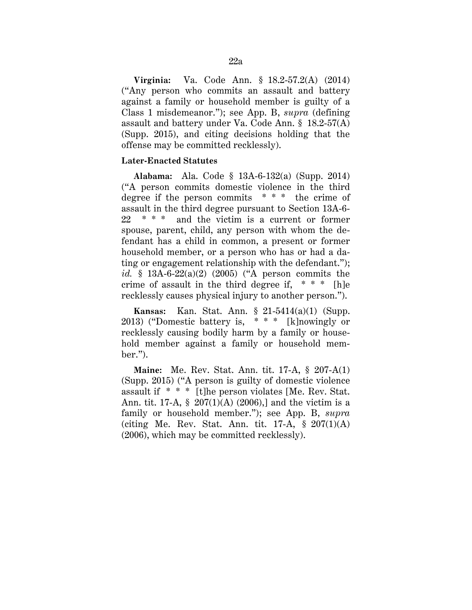**Virginia:** Va. Code Ann. § 18.2-57.2(A) (2014) ("Any person who commits an assault and battery against a family or household member is guilty of a Class 1 misdemeanor."); see App. B, *supra* (defining assault and battery under Va. Code Ann. § 18.2-57(A) (Supp. 2015), and citing decisions holding that the offense may be committed recklessly).

## **Later-Enacted Statutes**

**Alabama:** Ala. Code § 13A-6-132(a) (Supp. 2014) ("A person commits domestic violence in the third degree if the person commits  $* * *$  the crime of assault in the third degree pursuant to Section 13A-6- 22 \* \* \* and the victim is a current or former spouse, parent, child, any person with whom the defendant has a child in common, a present or former household member, or a person who has or had a dating or engagement relationship with the defendant."); *id.* § 13A-6-22(a)(2) (2005) ("A person commits the crime of assault in the third degree if, \* \* \* [h]e recklessly causes physical injury to another person.").

**Kansas:** Kan. Stat. Ann. § 21-5414(a)(1) (Supp. 2013) ("Domestic battery is, \* \* \* [k]nowingly or recklessly causing bodily harm by a family or household member against a family or household member.").

**Maine:** Me. Rev. Stat. Ann. tit. 17-A, § 207-A(1) (Supp. 2015) ("A person is guilty of domestic violence assault if \* \* \* [t]he person violates [Me. Rev. Stat. Ann. tit. 17-A, § 207(1)(A) (2006),] and the victim is a family or household member."); see App. B, *supra* (citing Me. Rev. Stat. Ann. tit.  $17-A$ ,  $\S 207(1)(A)$ ) (2006), which may be committed recklessly).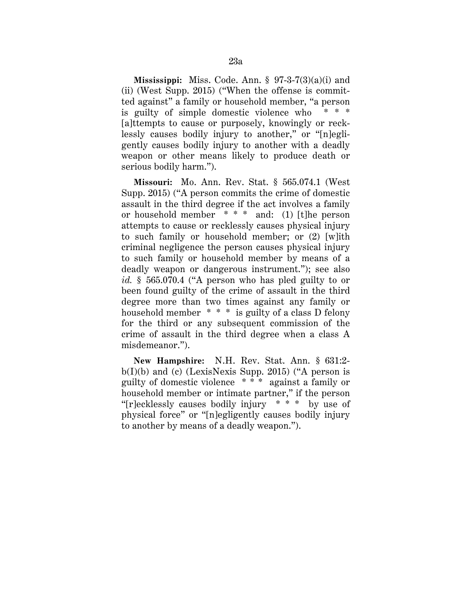**Mississippi:** Miss. Code. Ann. § 97-3-7(3)(a)(i) and (ii) (West Supp. 2015) ("When the offense is committed against" a family or household member, "a person is guilty of simple domestic violence who [a]ttempts to cause or purposely, knowingly or recklessly causes bodily injury to another," or "[n]egligently causes bodily injury to another with a deadly weapon or other means likely to produce death or serious bodily harm.").

**Missouri:** Mo. Ann. Rev. Stat. § 565.074.1 (West Supp. 2015) ("A person commits the crime of domestic assault in the third degree if the act involves a family or household member \* \* \* and: (1) [t]he person attempts to cause or recklessly causes physical injury to such family or household member; or (2) [w]ith criminal negligence the person causes physical injury to such family or household member by means of a deadly weapon or dangerous instrument."); see also *id.* § 565.070.4 ("A person who has pled guilty to or been found guilty of the crime of assault in the third degree more than two times against any family or household member \* \* \* is guilty of a class D felony for the third or any subsequent commission of the crime of assault in the third degree when a class A misdemeanor.").

**New Hampshire:** N.H. Rev. Stat. Ann. § 631:2  $b(I)(b)$  and (c) (LexisNexis Supp. 2015) ("A person is guilty of domestic violence \* \* \* against a family or household member or intimate partner," if the person "[r]ecklessly causes bodily injury \* \* \* by use of physical force" or "[n]egligently causes bodily injury to another by means of a deadly weapon.").